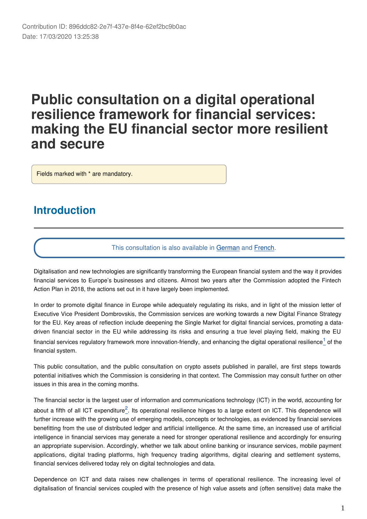# **Public consultation on a digital operational resilience framework for financial services: making the EU financial sector more resilient and secure**

Fields marked with \* are mandatory.

# **Introduction**

#### This consultation is also available in [German](https://ec.europa.eu/eusurvey/runner/financial-services-digital-resilience-2019?surveylanguage=de) and [French](https://ec.europa.eu/eusurvey/runner/financial-services-digital-resilience-2019?surveylanguage=fr).

Digitalisation and new technologies are significantly transforming the European financial system and the way it provides financial services to Europe's businesses and citizens. Almost two years after the Commission adopted the Fintech Action Plan in 2018, the actions set out in it have largely been implemented.

In order to promote digital finance in Europe while adequately regulating its risks, and in light of the mission letter of Executive Vice President Dombrovskis, the Commission services are working towards a new Digital Finance Strategy for the EU. Key areas of reflection include deepening the Single Market for digital financial services, promoting a datadriven financial sector in the EU while addressing its risks and ensuring a true level playing field, making the EU financial services regulatory framework more innovation-friendly, and enhancing the digital operational resilience<sup>1</sup> of the financial system.

This public consultation, and the public consultation on crypto assets published in parallel, are first steps towards potential initiatives which the Commission is considering in that context. The Commission may consult further on other issues in this area in the coming months.

The financial sector is the largest user of information and communications technology (ICT) in the world, accounting for about a fifth of all ICT expenditure<sup>2</sup>. Its operational resilience hinges to a large extent on ICT. This dependence will further increase with the growing use of emerging models, concepts or technologies, as evidenced by financial services benefitting from the use of distributed ledger and artificial intelligence. At the same time, an increased use of artificial intelligence in financial services may generate a need for stronger operational resilience and accordingly for ensuring an appropriate supervision. Accordingly, whether we talk about online banking or insurance services, mobile payment applications, digital trading platforms, high frequency trading algorithms, digital clearing and settlement systems, financial services delivered today rely on digital technologies and data.

Dependence on ICT and data raises new challenges in terms of operational resilience. The increasing level of digitalisation of financial services coupled with the presence of high value assets and (often sensitive) data make the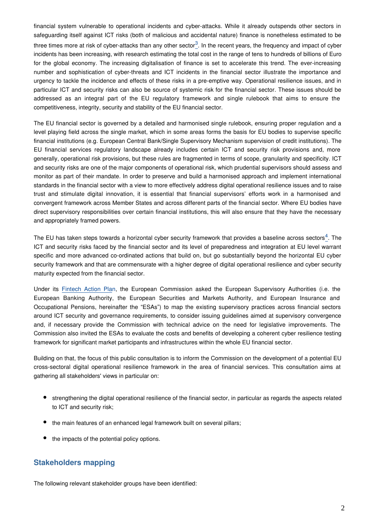financial system vulnerable to operational incidents and cyber-attacks. While it already outspends other sectors in safeguarding itself against ICT risks (both of malicious and accidental nature) finance is nonetheless estimated to be three times more at risk of cyber-attacks than any other sector<sup>3</sup>. In the recent years, the frequency and impact of cyber incidents has been increasing, with research estimating the total cost in the range of tens to hundreds of billions of Euro for the global economy. The increasing digitalisation of finance is set to accelerate this trend. The ever-increasing number and sophistication of cyber-threats and ICT incidents in the financial sector illustrate the importance and urgency to tackle the incidence and effects of these risks in a pre-emptive way. Operational resilience issues, and in particular ICT and security risks can also be source of systemic risk for the financial sector. These issues should be addressed as an integral part of the EU regulatory framework and single rulebook that aims to ensure the competitiveness, integrity, security and stability of the EU financial sector.

The EU financial sector is governed by a detailed and harmonised single rulebook, ensuring proper regulation and a level playing field across the single market, which in some areas forms the basis for EU bodies to supervise specific financial institutions (e.g. European Central Bank/Single Supervisory Mechanism supervision of credit institutions). The EU financial services regulatory landscape already includes certain ICT and security risk provisions and, more generally, operational risk provisions, but these rules are fragmented in terms of scope, granularity and specificity. ICT and security risks are one of the major components of operational risk, which prudential supervisors should assess and monitor as part of their mandate. In order to preserve and build a harmonised approach and implement international standards in the financial sector with a view to more effectively address digital operational resilience issues and to raise trust and stimulate digital innovation, it is essential that financial supervisors' efforts work in a harmonised and convergent framework across Member States and across different parts of the financial sector. Where EU bodies have direct supervisory responsibilities over certain financial institutions, this will also ensure that they have the necessary and appropriately framed powers.

The EU has taken steps towards a horizontal cyber security framework that provides a baseline across sectors<sup>4</sup>. The ICT and security risks faced by the financial sector and its level of preparedness and integration at EU level warrant specific and more advanced co-ordinated actions that build on, but go substantially beyond the horizontal EU cyber security framework and that are commensurate with a higher degree of digital operational resilience and cyber security maturity expected from the financial sector.

Under its [Fintech Action Pla](https://eur-lex.europa.eu/legal-content/EN/TXT/?uri=CELEX:52018DC0109)n, the European Commission asked the European Supervisory Authorities (i.e. the European Banking Authority, the European Securities and Markets Authority, and European Insurance and Occupational Pensions, hereinafter the "ESAs") to map the existing supervisory practices across financial sectors around ICT security and governance requirements, to consider issuing guidelines aimed at supervisory convergence and, if necessary provide the Commission with technical advice on the need for legislative improvements. The Commission also invited the ESAs to evaluate the costs and benefits of developing a coherent cyber resilience testing framework for significant market participants and infrastructures within the whole EU financial sector.

Building on that, the focus of this public consultation is to inform the Commission on the development of a potential EU cross-sectoral digital operational resilience framework in the area of financial services. This consultation aims at gathering all stakeholders' views in particular on:

- strengthening the digital operational resilience of the financial sector, in particular as regards the aspects related to ICT and security risk;
- the main features of an enhanced legal framework built on several pillars;
- the impacts of the potential policy options.

#### **Stakeholders mapping**

The following relevant stakeholder groups have been identified: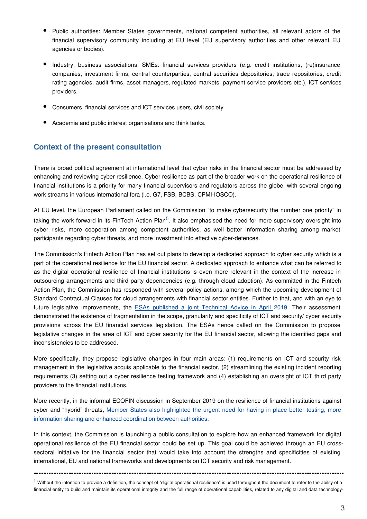- Public authorities: Member States governments, national competent authorities, all relevant actors of the financial supervisory community including at EU level (EU supervisory authorities and other relevant EU agencies or bodies).
- Industry, business associations, SMEs: financial services providers (e.g. credit institutions, (re)insurance companies, investment firms, central counterparties, central securities depositories, trade repositories, credit rating agencies, audit firms, asset managers, regulated markets, payment service providers etc.), ICT services providers.
- Consumers, financial services and ICT services users, civil society.
- Academia and public interest organisations and think tanks.

#### **Context of the present consultation**

There is broad political agreement at international level that cyber risks in the financial sector must be addressed by enhancing and reviewing cyber resilience. Cyber resilience as part of the broader work on the operational resilience of financial institutions is a priority for many financial supervisors and regulators across the globe, with several ongoing work streams in various international fora (i.e. G7, FSB, BCBS, CPMI-IOSCO).

At EU level, the European Parliament called on the Commission "to make cybersecurity the number one priority" in taking the work forward in its FinTech Action Plan<sup>5</sup>. It also emphasised the need for more supervisory oversight into cyber risks, more cooperation among competent authorities, as well better information sharing among market participants regarding cyber threats, and more investment into effective cyber-defences.

The Commission's Fintech Action Plan has set out plans to develop a dedicated approach to cyber security which is a part of the operational resilience for the EU financial sector. A dedicated approach to enhance what can be referred to as the digital operational resilience of financial institutions is even more relevant in the context of the increase in outsourcing arrangements and third party dependencies (e.g. through cloud adoption). As committed in the Fintech Action Plan, the Commission has responded with several policy actions, among which the upcoming development of Standard Contractual Clauses for cloud arrangements with financial sector entities. Further to that, and with an eye to future legislative improvements, the [ESAs published a joint Technical Advice in April](https://esas-joint-committee.europa.eu/Pages/News/ESAs-publish-Joint-Advice-on-Information-and-Communication-Technology-risk-management-and-cybersecurity.aspx) 2019. Their assessment demonstrated the existence of fragmentation in the scope, granularity and specificity of ICT and security/ cyber security provisions across the EU financial services legislation. The ESAs hence called on the Commission to propose legislative changes in the area of ICT and cyber security for the EU financial sector, allowing the identified gaps and inconsistencies to be addressed.

More specifically, they propose legislative changes in four main areas: (1) requirements on ICT and security risk management in the legislative acquis applicable to the financial sector, (2) streamlining the existing incident reporting requirements (3) setting out a cyber resilience testing framework and (4) establishing an oversight of ICT third party providers to the financial institutions.

More recently, in the informal ECOFIN discussion in September 2019 on the resilience of financial institutions against cyber and "hybrid" threats, [Member States also highlighted the urgent need for having in place better testing, mo](https://eu2019.fi/documents/11707387/15400298/Hybrid+Threats+Informal+ECOFIN+final+Issues+Note+2019-09-09_S2.pdf/29565728-f476-cbdd-4c5f-7e0ec970c6c4/Hybrid+Threats+Informal+ECOFIN+final+Issues+Note+2019-09-09_S2.pdf)re [information sharing and enhanced coordination between authorities](https://eu2019.fi/documents/11707387/15400298/Hybrid+Threats+Informal+ECOFIN+final+Issues+Note+2019-09-09_S2.pdf/29565728-f476-cbdd-4c5f-7e0ec970c6c4/Hybrid+Threats+Informal+ECOFIN+final+Issues+Note+2019-09-09_S2.pdf).

In this context, the Commission is launching a public consultation to explore how an enhanced framework for digital operational resilience of the EU financial sector could be set up. This goal could be achieved through an EU crosssectoral initiative for the financial sector that would take into account the strengths and specificities of existing international, EU and national frameworks and developments on ICT security and risk management.

 $1$  Without the intention to provide a definition, the concept of "digital operational resilience" is used throughout the document to refer to the ability of a financial entity to build and maintain its operational integrity and the full range of operational capabilities, related to any digital and data technology-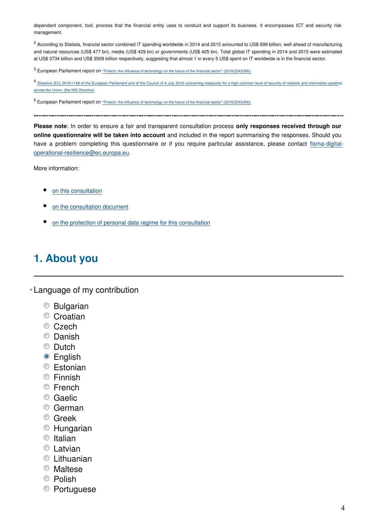dependant component, tool, process that the financial entity uses to conduct and support its business. It encompasses ICT and security risk management.

<sup>2</sup> According to Statista, financial sector combined IT spending worldwide in 2014 and 2015 amounted to US\$ 699 billion, well ahead of manufacturing and natural resources (US\$ 477 bn), media (US\$ 429 bn) or governments (US\$ 425 bn). Total global IT spending in 2014 and 2015 were estimated at US\$ 3734 billion and US\$ 3509 billion respectively, suggesting that almost 1 in every 5 US\$ spent on IT worldwide is in the financial sector.

<sup>3</sup> European Parliament report on ["Fintech: the influence of technology on the future of the financial sector" \(2016/2243\(INI\)\)](http://www.europarl.europa.eu/doceo/document/A-8-2017-0176_EN.pdf)

4 [Directive \(EU\) 2016/1148 of the European Parliament and of the Council of 6 July 2016 concerning measures for a high common level of security of network and information system](https://eur-lex.europa.eu/legal-content/EN/TXT/?uri=CELEX:32016L1148)s [across the Union, \(the NIS Directive\)](https://eur-lex.europa.eu/legal-content/EN/TXT/?uri=CELEX:32016L1148)

<sup>5</sup> European Parliament report on ["Fintech: the influence of technology on the future of the financial sector" \(2016/2243\(INI\)\)](http://www.europarl.europa.eu/doceo/document/A-8-2017-0176_EN.pdf)

**Please note**: In order to ensure a fair and transparent consultation process **only responses received through our online questionnaire will be taken into account** and included in the report summarising the responses. Should you have a problem completing this questionnaire or if you require particular assistance, please contact fisma-digitaloperational-resilience@ec.europa.eu.

More information:

- [on this consultation](https://ec.europa.eu/info/publications/finance-consultations-2019-financial-services-digital-resilience_en)
- [on the consultation document](https://ec.europa.eu/info/files/2019-financial-services-digital-resilience-consultation-document_en)
- [on the protection of personal data regime for this consultation](https://ec.europa.eu/info/law/better-regulation/specific-privacy-statement_en)

# **1. About you**

Language of my contribution **\***

- Bulgarian
- Croatian
- Czech
- Danish
- **Dutch**
- **•** English
- Estonian
- **Einnish**
- **■** French
- Caelic
- German
- **C** Greek
- Hungarian
- $\bullet$  Italian
- **C** Latvian
- Lithuanian
- **Maltese**
- <sup>O</sup> Polish
- Portuguese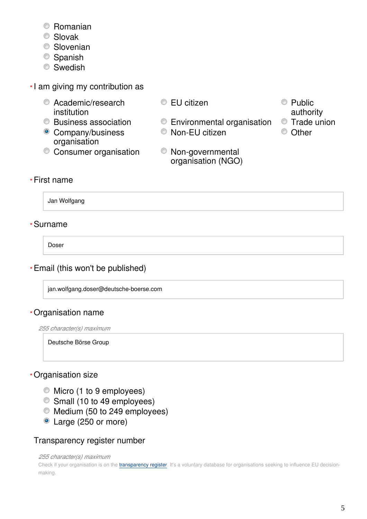- Romanian
- Slovak
- **Slovenian**
- Spanish
- **Swedish**
- I am giving my contribution as **\***
	- **C** Academic/research institution
	-
	- Company/business organisation
	- Consumer organisation Non-governmental
- EU citizen Public
	- Business association Environmental organisation Trade union
		- Non-EU citizen Other
		- organisation (NGO)
- authority
- 
- 

# First name **\***

Jan Wolfgang

# Surname **\***

Doser

# Email (this won't be published) **\***

jan.wolfgang.doser@deutsche-boerse.com

# Organisation name **\***

*255 character(s) maximum*

Deutsche Börse Group

# Organisation size **\***

- Micro (1 to 9 employees)
- Small (10 to 49 employees)
- Medium (50 to 249 employees)
- Large (250 or more)

# Transparency register number

#### *255 character(s) maximum*

Check if your organisation is on the [transparency register](http://ec.europa.eu/transparencyregister/public/homePage.do?redir=false&locale=en). It's a voluntary database for organisations seeking to influence EU decisionmaking.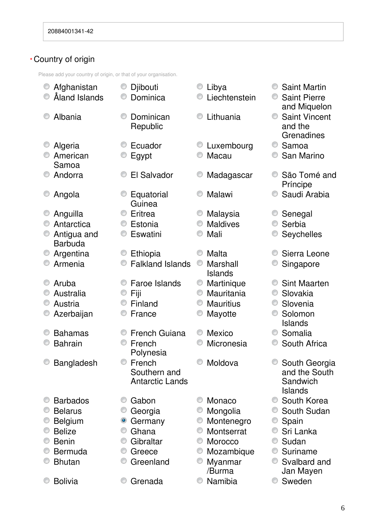# Country of origin **\***

Please add your country of origin, or that of your organisation.

|   | Afghanistan<br>Åland Islands  |   | Djibouti<br>Dominica                             |   | Libya<br>Liechtenstein     |   | <b>Saint Martin</b><br><b>Saint Pierre</b>                    |
|---|-------------------------------|---|--------------------------------------------------|---|----------------------------|---|---------------------------------------------------------------|
|   | Albania                       |   | Dominican<br>Republic                            |   | Lithuania                  | 0 | and Miquelon<br><b>Saint Vincent</b><br>and the<br>Grenadines |
|   | Algeria                       |   | Ecuador                                          |   | <b>Luxembourg</b>          |   | Samoa                                                         |
|   | American                      |   | Egypt                                            |   | Macau                      |   | San Marino                                                    |
|   | Samoa                         |   |                                                  |   |                            |   |                                                               |
|   | Andorra                       |   | El Salvador                                      |   | Madagascar                 |   | São Tomé and<br>Príncipe                                      |
|   | Angola                        |   | Equatorial<br>Guinea                             |   | Malawi                     |   | Saudi Arabia                                                  |
|   | Anguilla                      |   | Eritrea                                          |   | Malaysia                   |   | Senegal                                                       |
|   | Antarctica                    | O | Estonia                                          | O | <b>Maldives</b>            |   | Serbia                                                        |
|   | Antigua and<br><b>Barbuda</b> |   | Eswatini                                         |   | Mali                       |   | Seychelles                                                    |
| O | Argentina                     |   | Ethiopia                                         |   | Malta                      |   | Sierra Leone                                                  |
|   | Armenia                       |   | <b>Falkland Islands</b>                          | O | Marshall<br><b>Islands</b> |   | Singapore                                                     |
|   | Aruba                         |   | Faroe Islands                                    |   | Martinique                 |   | <b>Sint Maarten</b>                                           |
|   | Australia                     | O | Fiji                                             | O | Mauritania                 | O | Slovakia                                                      |
| O | Austria                       |   | Finland                                          | O | <b>Mauritius</b>           | O | Slovenia                                                      |
|   | Azerbaijan                    |   | France                                           |   | Mayotte                    |   | Solomon<br>Islands                                            |
|   | <b>Bahamas</b>                |   | <b>French Guiana</b>                             | O | <b>Mexico</b>              | O | Somalia                                                       |
|   | <b>Bahrain</b>                |   | French<br>Polynesia                              |   | Micronesia                 |   | South Africa                                                  |
|   | Bangladesh                    |   | French<br>Southern and<br><b>Antarctic Lands</b> |   | Moldova                    |   | South Georgia<br>and the South<br>Sandwich<br><b>Islands</b>  |
|   | <b>Barbados</b>               |   | Gabon                                            |   | Monaco                     |   | South Korea                                                   |
|   | <b>Belarus</b>                |   | Georgia                                          |   | Mongolia                   |   | South Sudan                                                   |
|   | <b>Belgium</b>                | ۱ | Germany                                          |   | Montenegro                 |   | Spain                                                         |
|   | <b>Belize</b>                 | O | Ghana                                            | O | Montserrat                 | O | Sri Lanka                                                     |
|   | <b>Benin</b>                  |   | Gibraltar                                        |   | Morocco                    |   | Sudan                                                         |
|   | Bermuda                       |   | Greece                                           |   | Mozambique                 | O | Suriname                                                      |
|   | <b>Bhutan</b>                 |   | Greenland                                        |   | Myanmar<br>/Burma          |   | Svalbard and<br>Jan Mayen                                     |
|   | <b>Bolivia</b>                |   | Grenada                                          |   | Namibia                    |   | Sweden                                                        |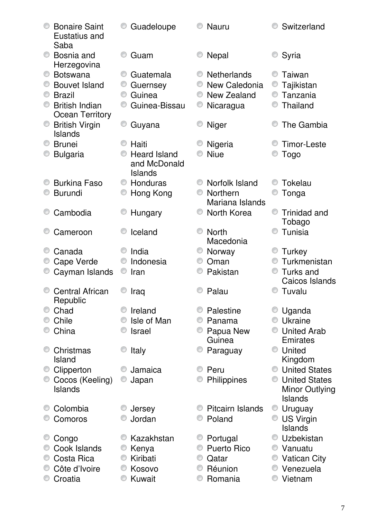| <b>Bonaire Saint</b><br>Eustatius and<br>Saba |   | Guadeloupe          |   | <b>Nauru</b>       |   | Switzerland            |
|-----------------------------------------------|---|---------------------|---|--------------------|---|------------------------|
| Bosnia and<br>Herzegovina                     |   | Guam                |   | <b>Nepal</b>       |   | Syria                  |
| <b>Botswana</b>                               |   | Guatemala           | O | <b>Netherlands</b> |   | Taiwan                 |
| <b>Bouvet Island</b>                          |   | Guernsey            | O | New Caledonia      | O | Tajikistan             |
| <b>Brazil</b>                                 | 0 | Guinea              | O | New Zealand        |   | Tanzania               |
| <b>British Indian</b>                         |   | Guinea-Bissau       |   | Nicaragua          |   | Thailand               |
| <b>Ocean Territory</b>                        |   |                     |   |                    |   |                        |
| <b>British Virgin</b>                         | O | Guyana              |   | <b>Niger</b>       |   | The Gambia             |
| <b>Islands</b>                                |   |                     |   |                    |   |                        |
| <b>Brunei</b>                                 |   | Haiti               |   | Nigeria            |   | Timor-Leste            |
| <b>Bulgaria</b>                               |   | <b>Heard Island</b> |   | <b>Niue</b>        |   | <b>Togo</b>            |
|                                               |   | and McDonald        |   |                    |   |                        |
|                                               |   | Islands             |   |                    |   |                        |
| <b>Burkina Faso</b>                           |   | Honduras            |   | Norfolk Island     |   | Tokelau                |
| <b>Burundi</b>                                | O | Hong Kong           | O | Northern           |   | Tonga                  |
|                                               |   |                     |   | Mariana Islands    |   |                        |
| Cambodia                                      |   | Hungary             | O | North Korea        |   | <b>Trinidad and</b>    |
|                                               |   |                     |   |                    |   | Tobago                 |
| Cameroon                                      |   | Iceland             | O | <b>North</b>       |   | Tunisia                |
|                                               |   | India               | O | Macedonia          |   |                        |
| Canada                                        |   | Indonesia           | O | Norway<br>Oman     |   | Turkey<br>Turkmenistan |
| Cape Verde                                    | O | Iran                |   | Pakistan           | 0 | Turks and              |
| Cayman Islands                                |   |                     |   |                    |   | Caicos Islands         |
| <b>Central African</b>                        |   | Iraq                | ⊙ | Palau              | O | Tuvalu                 |
| Republic                                      |   |                     |   |                    |   |                        |
| Chad                                          |   | Ireland             |   | Palestine          |   | Uganda                 |
| Chile                                         |   | Isle of Man         | O | Panama             | O | Ukraine                |
| China                                         |   | <b>Israel</b>       | O | Papua New          |   | <b>United Arab</b>     |
|                                               |   |                     |   | Guinea             |   | Emirates               |
| Christmas                                     |   | Italy               |   | Paraguay           | O | United                 |
| Island                                        |   |                     |   |                    |   | Kingdom                |
| Clipperton                                    |   | Jamaica             | 0 | Peru               | 0 | <b>United States</b>   |
| Cocos (Keeling)                               |   | Japan               |   | Philippines        | O | <b>United States</b>   |
| <b>Islands</b>                                |   |                     |   |                    |   | Minor Outlying         |
|                                               |   |                     |   |                    |   | <b>Islands</b>         |
| Colombia                                      |   | Jersey              |   | Pitcairn Islands   | O | Uruguay                |
| Comoros                                       |   | Jordan              |   | Poland             | O | <b>US Virgin</b>       |
|                                               |   |                     |   |                    |   | <b>Islands</b>         |
| Congo                                         |   | Kazakhstan          | O | Portugal           |   | Uzbekistan             |
| Cook Islands                                  |   | Kenya               |   | <b>Puerto Rico</b> | O | Vanuatu                |
| Costa Rica                                    |   | Kiribati            |   | Qatar              |   | <b>Vatican City</b>    |
| Côte d'Ivoire                                 |   | Kosovo              |   | Réunion            | O | Venezuela              |
| Croatia                                       |   | Kuwait              |   | Romania            |   | Vietnam                |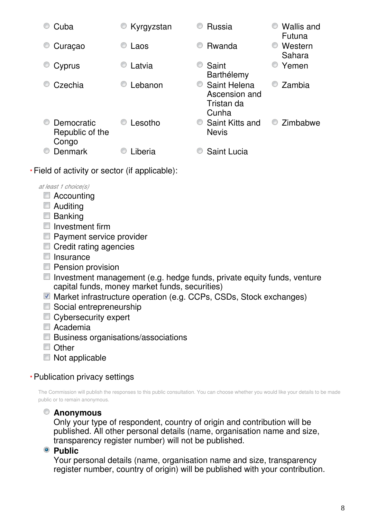| Cuba                                   | Kyrgyzstan | <b>Wallis and</b><br>Russia<br>Futuna                               |
|----------------------------------------|------------|---------------------------------------------------------------------|
| Curaçao                                | Laos       | Rwanda<br>Western<br>O<br>Sahara                                    |
| Cyprus                                 | Latvia     | Saint<br>Yemen<br>0<br>Barthélemy                                   |
| Czechia                                | Lebanon    | Saint Helena<br>Zambia<br>O<br>Ascension and<br>Tristan da<br>Cunha |
| Democratic<br>Republic of the<br>Congo | Lesotho    | Zimbabwe<br>Saint Kitts and<br>O<br><b>Nevis</b>                    |
| Denmark                                | .iberia    | <b>Saint Lucia</b>                                                  |

Field of activity or sector (if applicable): **\***

*at least 1 choice(s)*

- Accounting
- Auditing
- **Banking**
- $\blacksquare$  Investment firm
- **Payment service provider**
- Credit rating agencies
- $\blacksquare$  Insurance
- **Pension provision**
- $\Box$  Investment management (e.g. hedge funds, private equity funds, venture capital funds, money market funds, securities)
- Market infrastructure operation (e.g. CCPs, CSDs, Stock exchanges)
- Social entrepreneurship
- Cybersecurity expert
- Academia
- **Business organisations/associations**
- Other
- Not applicable

# Publication privacy settings **\***

The Commission will publish the responses to this public consultation. You can choose whether you would like your details to be made public or to remain anonymous.

# **Anonymous**

Only your type of respondent, country of origin and contribution will be published. All other personal details (name, organisation name and size, transparency register number) will not be published.

**Public** 

Your personal details (name, organisation name and size, transparency register number, country of origin) will be published with your contribution.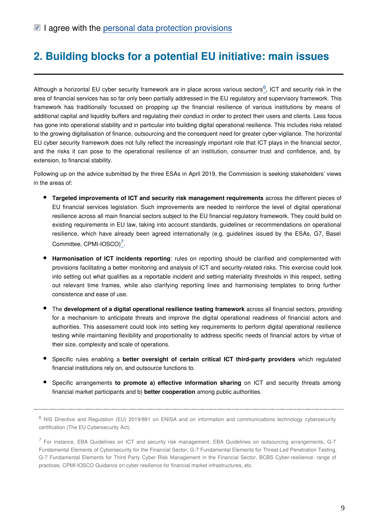# **2. Building blocks for a potential EU initiative: main issues**

Although a horizontal EU cyber security framework are in place across various sectors<sup>[6](#page-8-0)</sup>, ICT and security risk in the area of financial services has so far only been partially addressed in the EU regulatory and supervisory framework. This framework has traditionally focussed on propping up the financial resilience of various institutions by means of additional capital and liquidity buffers and regulating their conduct in order to protect their users and clients. Less focus has gone into operational stability and in particular into building digital operational resilience. This includes risks related to the growing digitalisation of finance, outsourcing and the consequent need for greater cyber-vigilance. The horizontal EU cyber security framework does not fully reflect the increasingly important role that ICT plays in the financial sector, and the risks it can pose to the operational resilience of an institution, consumer trust and confidence, and, by extension, to financial stability.

Following up on the advice submitted by the three ESAs in April 2019, the Commission is seeking stakeholders' views in the areas of:

- **Targeted improvements of ICT and security risk management requirements** across the different pieces of EU financial services legislation. Such improvements are needed to reinforce the level of digital operational resilience across all main financial sectors subject to the EU financial regulatory framework. They could build on existing requirements in EU law, taking into account standards, guidelines or recommendations on operational resilience, which have already been agreed internationally (e.g. guidelines issued by the ESAs, G7, Basel Committee, CPMI-IOSCO)<sup>[7](#page-8-1)</sup>.
- **Harmonisation of ICT incidents reporting**: rules on reporting should be clarified and complemented with provisions facilitating a better monitoring and analysis of ICT and security-related risks. This exercise could look into setting out what qualifies as a reportable incident and setting materiality thresholds in this respect, setting out relevant time frames, while also clarifying reporting lines and harmonising templates to bring further consistence and ease of use.
- The **development of a digital operational resilience testing framework** across all financial sectors, providing for a mechanism to anticipate threats and improve the digital operational readiness of financial actors and authorities. This assessment could look into setting key requirements to perform digital operational resilience testing while maintaining flexibility and proportionality to address specific needs of financial actors by virtue of their size, complexity and scale of operations.
- Specific rules enabling a **better oversight of certain critical ICT third-party providers** which regulated financial institutions rely on, and outsource functions to.
- **•** Specific arrangements **to promote a) effective information sharing** on ICT and security threats among financial market participants and b) **better cooperation** among public authorities.

<span id="page-8-0"></span><sup>6</sup> NIS Directive and Regulation (EU) 2019/881 on ENISA and on information and communications technology cybersecurity certification (The EU Cybersecurity Act).

<span id="page-8-1"></span><sup>&</sup>lt;sup>7</sup> For instance, EBA Guidelines on ICT and security risk management, EBA Guidelines on outsourcing arrangements, G-7 Fundamental Elements of Cybersecurity for the Financial Sector, G-7 Fundamental Elements for Threat-Led Penetration Testing, G-7 Fundamental Elements for Third Party Cyber Risk Management in the Financial Sector, BCBS Cyber-resilience: range of practices, CPMI-IOSCO Guidance on cyber resilience for financial market infrastructures, etc.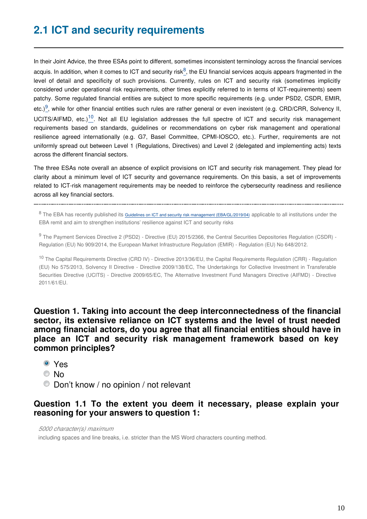In their Joint Advice, the three ESAs point to different, sometimes inconsistent terminology across the financial services acquis. In addition, when it comes to ICT and security risk<sup>[8](#page-9-0)</sup>, the EU financial services acquis appears fragmented in the level of detail and specificity of such provisions. Currently, rules on ICT and security risk (sometimes implicitly considered under operational risk requirements, other times explicitly referred to in terms of ICT-requirements) seem patchy. Some regulated financial entities are subject to more specific requirements (e.g. under PSD2, CSDR, EMIR, etc.)<sup>[9](#page-9-1)</sup>, while for other financial entities such rules are rather general or even inexistent (e.g. CRD/CRR, Solvency II, UCITS/AIFMD, etc.)<sup>[10](#page-9-2)</sup>. Not all EU legislation addresses the full spectre of ICT and security risk management requirements based on standards, guidelines or recommendations on cyber risk management and operational resilience agreed internationally (e.g. G7, Basel Committee, CPMI-IOSCO, etc.). Further, requirements are not uniformly spread out between Level 1 (Regulations, Directives) and Level 2 (delegated and implementing acts) texts across the different financial sectors.

The three ESAs note overall an absence of explicit provisions on ICT and security risk management. They plead for clarity about a minimum level of ICT security and governance requirements. On this basis, a set of improvements related to ICT-risk management requirements may be needed to reinforce the cybersecurity readiness and resilience across all key financial sectors.

<span id="page-9-0"></span>

<sup>8</sup> The EBA has recently published its [Guidelines on ICT and security risk management \(EBA/GL/2019/04\)](https://eba.europa.eu/eba-publishes-guidelines-ict-and-security-risk-management) applicable to all institutions under the EBA remit and aim to strengthen institutions' resilience against ICT and security risks

<span id="page-9-1"></span><sup>9</sup> The Payment Services Directive 2 (PSD2) - Directive (EU) 2015/2366, the Central Securities Depositories Regulation (CSDR) -Regulation (EU) No 909/2014, the European Market Infrastructure Regulation (EMIR) - Regulation (EU) No 648/2012.

<span id="page-9-2"></span><sup>10</sup> The Capital Requirements Directive (CRD IV) - Directive 2013/36/EU, the Capital Requirements Regulation (CRR) - Regulation (EU) No 575/2013, Solvency II Directive - Directive 2009/138/EC, The Undertakings for Collective Investment in Transferable Securities Directive (UCITS) - Directive 2009/65/EC, The Alternative Investment Fund Managers Directive (AIFMD) - Directive 2011/61/EU.

**Question 1. Taking into account the deep interconnectedness of the financial sector, its extensive reliance on ICT systems and the level of trust needed among financial actors, do you agree that all financial entities should have in place an ICT and security risk management framework based on key common principles?**

- Yes
- © No
- Don't know / no opinion / not relevant

#### **Question 1.1 To the extent you deem it necessary, please explain your reasoning for your answers to question 1:**

*5000 character(s) maximum*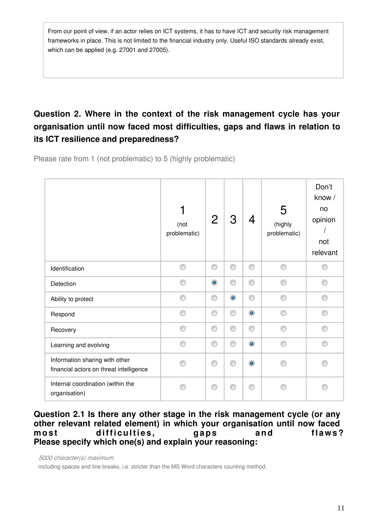From our point of view, if an actor relies on ICT systems, it has to have ICT and security risk management frameworks in place. This is not limited to the financial industry only. Useful ISO standards already exist, which can be applied (e.g. 27001 and 27005).

# **Question 2. Where in the context of the risk management cycle has your organisation until now faced most difficulties, gaps and flaws in relation to its ICT resilience and preparedness?**

Please rate from 1 (not problematic) to 5 (highly problematic)

|                                                                           | 1<br>(not<br>problematic) | $\mathbf{2}$   | 3         | 4         | 5<br>(highly<br>problematic) | Don't<br>know /<br>no<br>opinion<br>not<br>relevant |
|---------------------------------------------------------------------------|---------------------------|----------------|-----------|-----------|------------------------------|-----------------------------------------------------|
| Identification                                                            | €                         | 0              | 0         | 0         | ⋒                            |                                                     |
| Detection                                                                 | ◉                         | $\circledcirc$ | ⊙         | ⊙         |                              | ∩                                                   |
| Ability to protect                                                        | ◉                         | 0              | $\bullet$ | ⊙         | ⋒                            | ◎                                                   |
| Respond                                                                   | ⊙                         | 0              | ⊙         | $\bullet$ | ⋒                            | ∩                                                   |
| Recovery                                                                  | ⋒                         | ⊙              | ⊙         | ⊙         | ⋒                            | ⋒                                                   |
| Learning and evolving                                                     | ⊙                         | 0              | ⊙         | $\bullet$ | ⋒                            | ⋒                                                   |
| Information sharing with other<br>financial actors on threat intelligence | e                         | ⊙              | ⋒         | $\bullet$ |                              | ⋒                                                   |
| Internal coordination (within the<br>organisation)                        | e                         | ⊙              |           | ◉         |                              |                                                     |

#### **Question 2.1 Is there any other stage in the risk management cycle (or any other relevant related element) in which your organisation until now faced**  most difficulties, gaps and flaws? **Please specify which one(s) and explain your reasoning:**

*5000 character(s) maximum*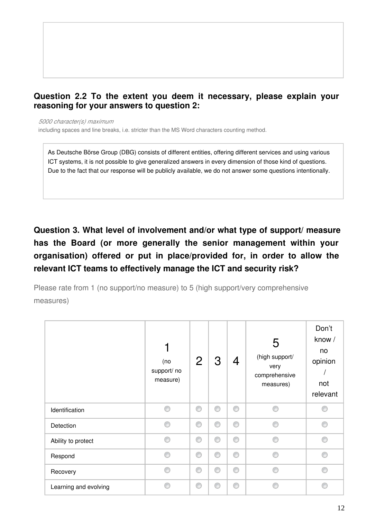# **Question 2.2 To the extent you deem it necessary, please explain your reasoning for your answers to question 2:**

*5000 character(s) maximum*

including spaces and line breaks, i.e. stricter than the MS Word characters counting method.

As Deutsche Börse Group (DBG) consists of different entities, offering different services and using various ICT systems, it is not possible to give generalized answers in every dimension of those kind of questions. Due to the fact that our response will be publicly available, we do not answer some questions intentionally.

**Question 3. What level of involvement and/or what type of support/ measure has the Board (or more generally the senior management within your organisation) offered or put in place/provided for, in order to allow the relevant ICT teams to effectively manage the ICT and security risk?**

Please rate from 1 (no support/no measure) to 5 (high support/very comprehensive measures)

|                       | (no<br>support/ no<br>measure) | $\overline{2}$ | 3 | 4 | 5<br>(high support/<br>very<br>comprehensive<br>measures) | Don't<br>know /<br>no<br>opinion<br>not<br>relevant |
|-----------------------|--------------------------------|----------------|---|---|-----------------------------------------------------------|-----------------------------------------------------|
| Identification        | ∩                              | O              | 0 | 0 | A                                                         |                                                     |
| Detection             | ∩                              | 0              | ⊙ | 0 | ⋒                                                         | ⊙                                                   |
| Ability to protect    | ∩                              | 0              | ⊙ | 0 | ⋒                                                         | ⊙                                                   |
| Respond               | ⋒                              | ⊙              | ⋒ | ⊙ | O.                                                        | ◉                                                   |
| Recovery              | ⋒                              | 0              | ⊙ | 0 | O.                                                        | ∩                                                   |
| Learning and evolving | ⋒                              | ⊙              | ∩ | 0 |                                                           | ⋒                                                   |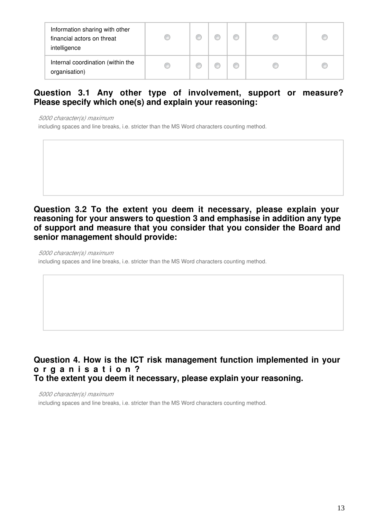| Information sharing with other<br>financial actors on threat<br>intelligence | œ | ⋒ |  |  |
|------------------------------------------------------------------------------|---|---|--|--|
| Internal coordination (within the<br>organisation)                           | O | m |  |  |

# **Question 3.1 Any other type of involvement, support or measure? Please specify which one(s) and explain your reasoning:**

*5000 character(s) maximum*

including spaces and line breaks, i.e. stricter than the MS Word characters counting method.

**Question 3.2 To the extent you deem it necessary, please explain your reasoning for your answers to question 3 and emphasise in addition any type of support and measure that you consider that you consider the Board and senior management should provide:**

*5000 character(s) maximum*

including spaces and line breaks, i.e. stricter than the MS Word characters counting method.

### **Question 4. How is the ICT risk management function implemented in your o r g a n i s a t i o n ? To the extent you deem it necessary, please explain your reasoning.**

*5000 character(s) maximum*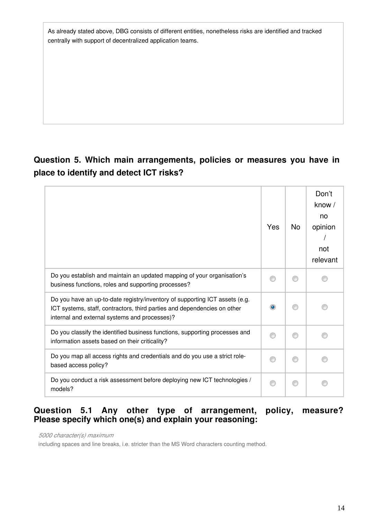As already stated above, DBG consists of different entities, nonetheless risks are identified and tracked centrally with support of decentralized application teams.

# **Question 5. Which main arrangements, policies or measures you have in place to identify and detect ICT risks?**

|                                                                                                                                                                                                          | Yes | No | Don't<br>know /<br>no<br>opinion<br>not<br>relevant |
|----------------------------------------------------------------------------------------------------------------------------------------------------------------------------------------------------------|-----|----|-----------------------------------------------------|
| Do you establish and maintain an updated mapping of your organisation's<br>business functions, roles and supporting processes?                                                                           |     |    |                                                     |
| Do you have an up-to-date registry/inventory of supporting ICT assets (e.g.<br>ICT systems, staff, contractors, third parties and dependencies on other<br>internal and external systems and processes)? |     |    |                                                     |
| Do you classify the identified business functions, supporting processes and<br>information assets based on their criticality?                                                                            |     |    |                                                     |
| Do you map all access rights and credentials and do you use a strict role-<br>based access policy?                                                                                                       |     |    |                                                     |
| Do you conduct a risk assessment before deploying new ICT technologies /<br>models?                                                                                                                      |     |    |                                                     |

# **Question 5.1 Any other type of arrangement, policy, measure? Please specify which one(s) and explain your reasoning:**

*5000 character(s) maximum*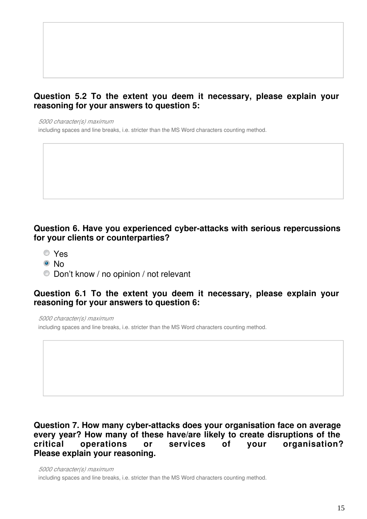# **Question 5.2 To the extent you deem it necessary, please explain your reasoning for your answers to question 5:**

*5000 character(s) maximum*

including spaces and line breaks, i.e. stricter than the MS Word characters counting method.

#### **Question 6. Have you experienced cyber-attacks with serious repercussions for your clients or counterparties?**

- Yes
- © No
- Don't know / no opinion / not relevant

#### **Question 6.1 To the extent you deem it necessary, please explain your reasoning for your answers to question 6:**

*5000 character(s) maximum*

including spaces and line breaks, i.e. stricter than the MS Word characters counting method.

# **Question 7. How many cyber-attacks does your organisation face on average every year? How many of these have/are likely to create disruptions of the critical operations or services of your organisation? Please explain your reasoning.**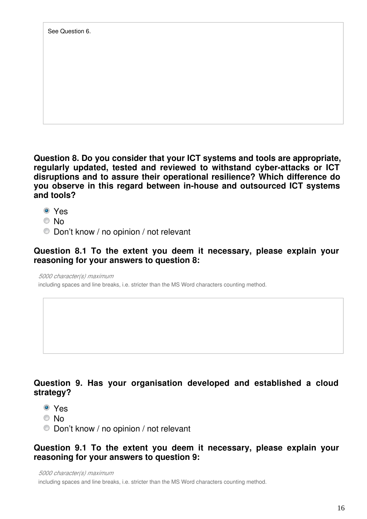**Question 8. Do you consider that your ICT systems and tools are appropriate, regularly updated, tested and reviewed to withstand cyber-attacks or ICT disruptions and to assure their operational resilience? Which difference do you observe in this regard between in-house and outsourced ICT systems and tools?**

- Yes
- No
- Don't know / no opinion / not relevant

### **Question 8.1 To the extent you deem it necessary, please explain your reasoning for your answers to question 8:**

*5000 character(s) maximum*

including spaces and line breaks, i.e. stricter than the MS Word characters counting method.

# **Question 9. Has your organisation developed and established a cloud strategy?**

- Yes
- © No
- Don't know / no opinion / not relevant

# **Question 9.1 To the extent you deem it necessary, please explain your reasoning for your answers to question 9:**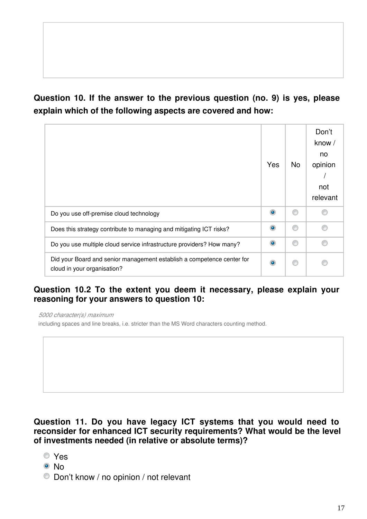# **Question 10. If the answer to the previous question (no. 9) is yes, please explain which of the following aspects are covered and how:**

|                                                                                                       | Yes       | <b>No</b> | Don't<br>know /<br>no<br>opinion<br>not<br>relevant |
|-------------------------------------------------------------------------------------------------------|-----------|-----------|-----------------------------------------------------|
| Do you use off-premise cloud technology                                                               | $\bullet$ |           |                                                     |
| Does this strategy contribute to managing and mitigating ICT risks?                                   | $\bullet$ |           |                                                     |
| Do you use multiple cloud service infrastructure providers? How many?                                 | $\bullet$ | ⋒         | ⋒                                                   |
| Did your Board and senior management establish a competence center for<br>cloud in your organisation? | $\bullet$ |           |                                                     |

# **Question 10.2 To the extent you deem it necessary, please explain your reasoning for your answers to question 10:**

*5000 character(s) maximum*



- Yes
- © No
- Don't know / no opinion / not relevant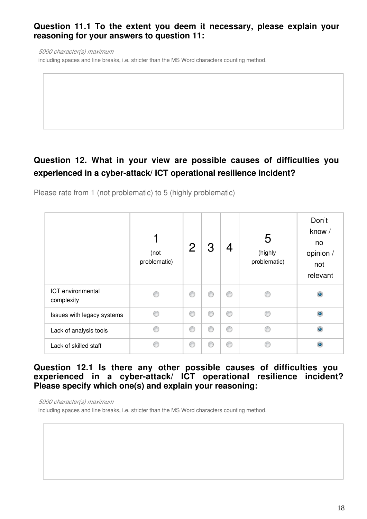# **Question 11.1 To the extent you deem it necessary, please explain your reasoning for your answers to question 11:**

*5000 character(s) maximum*

including spaces and line breaks, i.e. stricter than the MS Word characters counting method.

# **Question 12. What in your view are possible causes of difficulties you experienced in a cyber-attack/ ICT operational resilience incident?**

Please rate from 1 (not problematic) to 5 (highly problematic)

|                                 | (not<br>problematic) | 2 |   | 4 | 5<br>(highly<br>problematic) | Don't<br>know /<br>no<br>opinion /<br>not<br>relevant |
|---------------------------------|----------------------|---|---|---|------------------------------|-------------------------------------------------------|
| ICT environmental<br>complexity |                      | ⊙ | ⋒ | ⊙ |                              | ۵                                                     |
| Issues with legacy systems      |                      | C | ⋒ | ⊙ | O.                           | $\bullet$                                             |
| Lack of analysis tools          |                      | C | ⋒ | 0 | ē                            | $\bullet$                                             |
| Lack of skilled staff           |                      | C |   | 0 |                              | $\bullet$                                             |

### **Question 12.1 Is there any other possible causes of difficulties you experienced in a cyber-attack/ ICT operational resilience incident? Please specify which one(s) and explain your reasoning:**

*5000 character(s) maximum*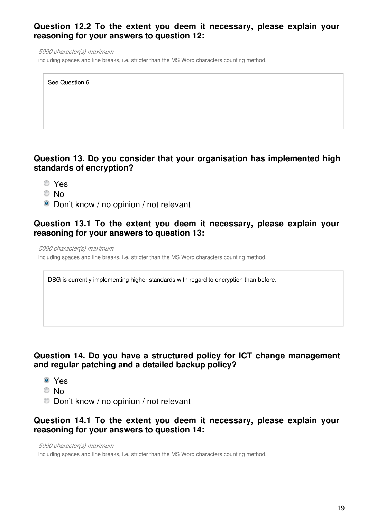# **Question 12.2 To the extent you deem it necessary, please explain your reasoning for your answers to question 12:**

*5000 character(s) maximum*

including spaces and line breaks, i.e. stricter than the MS Word characters counting method.

| See Question 6. |
|-----------------|
|                 |

# **Question 13. Do you consider that your organisation has implemented high standards of encryption?**

- Yes
- © No
- Don't know / no opinion / not relevant

### **Question 13.1 To the extent you deem it necessary, please explain your reasoning for your answers to question 13:**

*5000 character(s) maximum*

including spaces and line breaks, i.e. stricter than the MS Word characters counting method.

DBG is currently implementing higher standards with regard to encryption than before.

# **Question 14. Do you have a structured policy for ICT change management and regular patching and a detailed backup policy?**

- Yes
- © No
- Don't know / no opinion / not relevant

### **Question 14.1 To the extent you deem it necessary, please explain your reasoning for your answers to question 14:**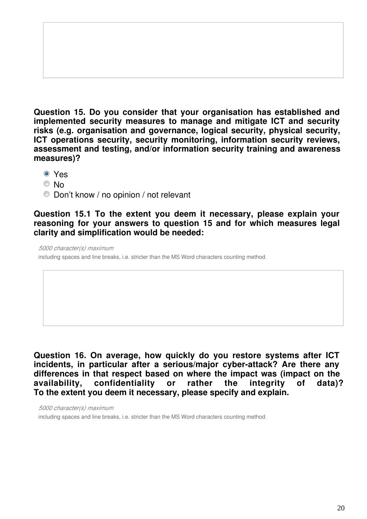**Question 15. Do you consider that your organisation has established and implemented security measures to manage and mitigate ICT and security risks (e.g. organisation and governance, logical security, physical security, ICT operations security, security monitoring, information security reviews, assessment and testing, and/or information security training and awareness measures)?**

- Yes
- © No
- Don't know / no opinion / not relevant

**Question 15.1 To the extent you deem it necessary, please explain your reasoning for your answers to question 15 and for which measures legal clarity and simplification would be needed:**

*5000 character(s) maximum*

including spaces and line breaks, i.e. stricter than the MS Word characters counting method.

**Question 16. On average, how quickly do you restore systems after ICT incidents, in particular after a serious/major cyber-attack? Are there any differences in that respect based on where the impact was (impact on the availability, confidentiality or rather the integrity of data)? To the extent you deem it necessary, please specify and explain.**

*5000 character(s) maximum*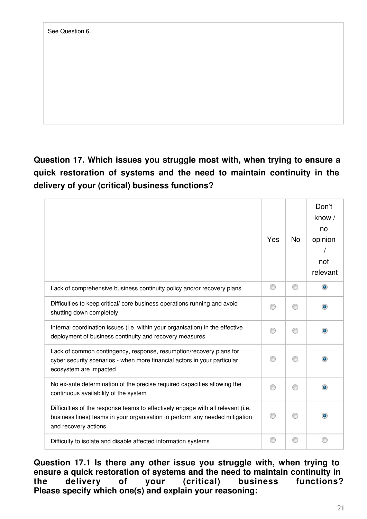**Question 17. Which issues you struggle most with, when trying to ensure a quick restoration of systems and the need to maintain continuity in the delivery of your (critical) business functions?**

|                                                                                                                                                                                         | Yes | <b>No</b> | Don't<br>know /<br>no<br>opinion<br>not<br>relevant |
|-----------------------------------------------------------------------------------------------------------------------------------------------------------------------------------------|-----|-----------|-----------------------------------------------------|
| Lack of comprehensive business continuity policy and/or recovery plans                                                                                                                  |     |           | $\bullet$                                           |
| Difficulties to keep critical/ core business operations running and avoid<br>shutting down completely                                                                                   |     |           |                                                     |
| Internal coordination issues (i.e. within your organisation) in the effective<br>deployment of business continuity and recovery measures                                                |     |           |                                                     |
| Lack of common contingency, response, resumption/recovery plans for<br>cyber security scenarios - when more financial actors in your particular<br>ecosystem are impacted               |     |           |                                                     |
| No ex-ante determination of the precise required capacities allowing the<br>continuous availability of the system                                                                       |     |           |                                                     |
| Difficulties of the response teams to effectively engage with all relevant (i.e.<br>business lines) teams in your organisation to perform any needed mitigation<br>and recovery actions |     |           |                                                     |
| Difficulty to isolate and disable affected information systems                                                                                                                          |     | C         |                                                     |

**Question 17.1 Is there any other issue you struggle with, when trying to ensure a quick restoration of systems and the need to maintain continuity in the delivery of your (critical) business functions? Please specify which one(s) and explain your reasoning:**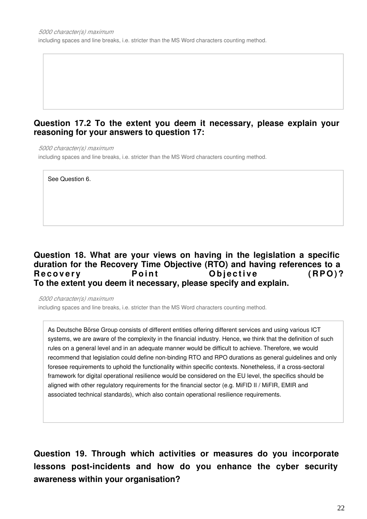### **Question 17.2 To the extent you deem it necessary, please explain your reasoning for your answers to question 17:**

*5000 character(s) maximum*

including spaces and line breaks, i.e. stricter than the MS Word characters counting method.

See Question 6.

### **Question 18. What are your views on having in the legislation a specific duration for the Recovery Time Objective (RTO) and having references to a**  Recovery **Point** Objective (RPO)? **To the extent you deem it necessary, please specify and explain.**

*5000 character(s) maximum*

including spaces and line breaks, i.e. stricter than the MS Word characters counting method.

As Deutsche Börse Group consists of different entities offering different services and using various ICT systems, we are aware of the complexity in the financial industry. Hence, we think that the definition of such rules on a general level and in an adequate manner would be difficult to achieve. Therefore, we would recommend that legislation could define non-binding RTO and RPO durations as general guidelines and only foresee requirements to uphold the functionality within specific contexts. Nonetheless, if a cross-sectoral framework for digital operational resilience would be considered on the EU level, the specifics should be aligned with other regulatory requirements for the financial sector (e.g. MiFID II / MiFIR, EMIR and associated technical standards), which also contain operational resilience requirements.

**Question 19. Through which activities or measures do you incorporate lessons post-incidents and how do you enhance the cyber security awareness within your organisation?**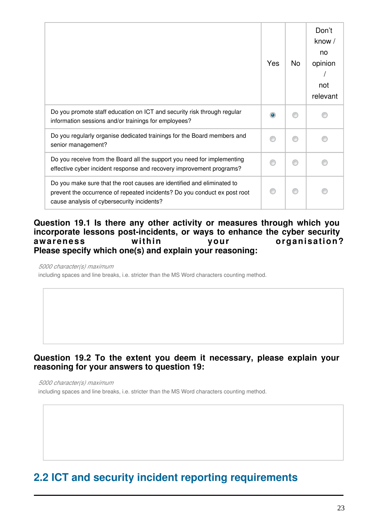|                                                                                                                                                                                                   | Yes       | No | Don't<br>know /<br>no<br>opinion<br>not<br>relevant |
|---------------------------------------------------------------------------------------------------------------------------------------------------------------------------------------------------|-----------|----|-----------------------------------------------------|
| Do you promote staff education on ICT and security risk through regular<br>information sessions and/or trainings for employees?                                                                   | $\bullet$ |    |                                                     |
| Do you regularly organise dedicated trainings for the Board members and<br>senior management?                                                                                                     |           | ⋒  |                                                     |
| Do you receive from the Board all the support you need for implementing<br>effective cyber incident response and recovery improvement programs?                                                   |           |    |                                                     |
| Do you make sure that the root causes are identified and eliminated to<br>prevent the occurrence of repeated incidents? Do you conduct ex post root<br>cause analysis of cybersecurity incidents? |           | ⋒  |                                                     |

#### **Question 19.1 Is there any other activity or measures through which you incorporate lessons post-incidents, or ways to enhance the cyber security**  awareness within your organisation? **Please specify which one(s) and explain your reasoning:**

*5000 character(s) maximum*

including spaces and line breaks, i.e. stricter than the MS Word characters counting method.

# **Question 19.2 To the extent you deem it necessary, please explain your reasoning for your answers to question 19:**

*5000 character(s) maximum*

including spaces and line breaks, i.e. stricter than the MS Word characters counting method.

# **2.2 ICT and security incident reporting requirements**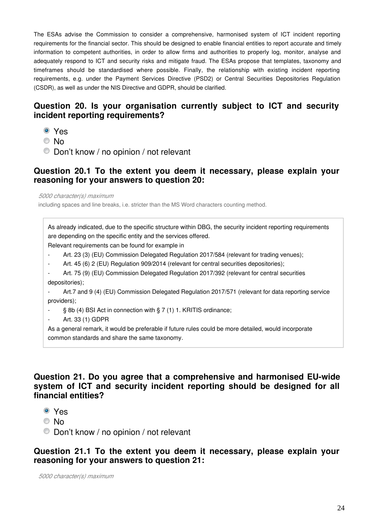The ESAs advise the Commission to consider a comprehensive, harmonised system of ICT incident reporting requirements for the financial sector. This should be designed to enable financial entities to report accurate and timely information to competent authorities, in order to allow firms and authorities to properly log, monitor, analyse and adequately respond to ICT and security risks and mitigate fraud. The ESAs propose that templates, taxonomy and timeframes should be standardised where possible. Finally, the relationship with existing incident reporting requirements, e.g. under the Payment Services Directive (PSD2) or Central Securities Depositories Regulation (CSDR), as well as under the NIS Directive and GDPR, should be clarified.

# **Question 20. Is your organisation currently subject to ICT and security incident reporting requirements?**

- Yes
- © No
- Don't know / no opinion / not relevant

#### **Question 20.1 To the extent you deem it necessary, please explain your reasoning for your answers to question 20:**

*5000 character(s) maximum*

including spaces and line breaks, i.e. stricter than the MS Word characters counting method.

As already indicated, due to the specific structure within DBG, the security incident reporting requirements are depending on the specific entity and the services offered.

Relevant requirements can be found for example in

- Art. 23 (3) (EU) Commission Delegated Regulation 2017/584 (relevant for trading venues);
- Art. 45 (6) 2 (EU) Regulation 909/2014 (relevant for central securities depositories);
- Art. 75 (9) (EU) Commission Delegated Regulation 2017/392 (relevant for central securities depositories);
- Art.7 and 9 (4) (EU) Commission Delegated Regulation 2017/571 (relevant for data reporting service providers);
- § 8b (4) BSI Act in connection with § 7 (1) 1. KRITIS ordinance;
- Art. 33 (1) GDPR

As a general remark, it would be preferable if future rules could be more detailed, would incorporate common standards and share the same taxonomy.

#### **Question 21. Do you agree that a comprehensive and harmonised EU-wide system of ICT and security incident reporting should be designed for all financial entities?**

- Yes
- No
- Don't know / no opinion / not relevant

#### **Question 21.1 To the extent you deem it necessary, please explain your reasoning for your answers to question 21:**

*5000 character(s) maximum*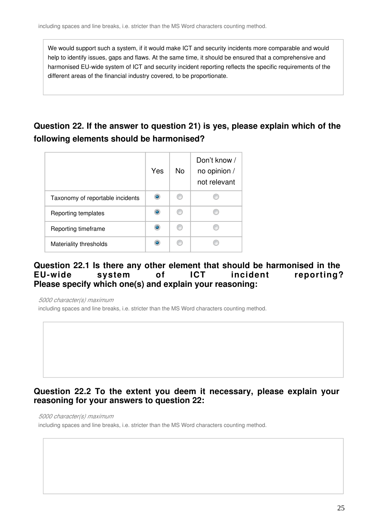We would support such a system, if it would make ICT and security incidents more comparable and would help to identify issues, gaps and flaws. At the same time, it should be ensured that a comprehensive and harmonised EU-wide system of ICT and security incident reporting reflects the specific requirements of the different areas of the financial industry covered, to be proportionate.

# **Question 22. If the answer to question 21) is yes, please explain which of the following elements should be harmonised?**

|                                  | Yes | <b>No</b> | Don't know /<br>no opinion /<br>not relevant |
|----------------------------------|-----|-----------|----------------------------------------------|
| Taxonomy of reportable incidents |     |           |                                              |
| Reporting templates              | ۰   |           |                                              |
| Reporting timeframe              | ۰   |           |                                              |
| Materiality thresholds           |     |           |                                              |

#### **Question 22.1 Is there any other element that should be harmonised in the EU-wide system of ICT incident reporting? Please specify which one(s) and explain your reasoning:**

*5000 character(s) maximum*

including spaces and line breaks, i.e. stricter than the MS Word characters counting method.

# **Question 22.2 To the extent you deem it necessary, please explain your reasoning for your answers to question 22:**

*5000 character(s) maximum*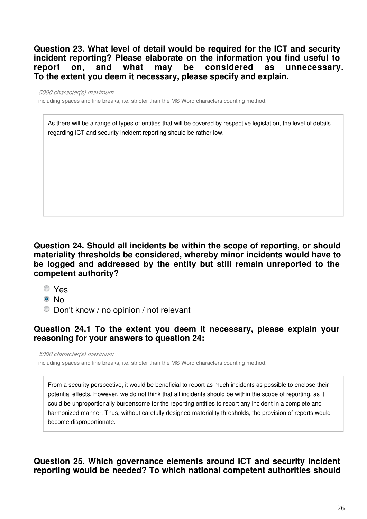**Question 23. What level of detail would be required for the ICT and security incident reporting? Please elaborate on the information you find useful to report on, and what may be considered as unnecessary. To the extent you deem it necessary, please specify and explain.**

*5000 character(s) maximum*

including spaces and line breaks, i.e. stricter than the MS Word characters counting method.

As there will be a range of types of entities that will be covered by respective legislation, the level of details regarding ICT and security incident reporting should be rather low.

### **Question 24. Should all incidents be within the scope of reporting, or should materiality thresholds be considered, whereby minor incidents would have to be logged and addressed by the entity but still remain unreported to the competent authority?**

- Yes
- ® No
- Don't know / no opinion / not relevant

# **Question 24.1 To the extent you deem it necessary, please explain your reasoning for your answers to question 24:**

*5000 character(s) maximum*

including spaces and line breaks, i.e. stricter than the MS Word characters counting method.

From a security perspective, it would be beneficial to report as much incidents as possible to enclose their potential effects. However, we do not think that all incidents should be within the scope of reporting, as it could be unproportionally burdensome for the reporting entities to report any incident in a complete and harmonized manner. Thus, without carefully designed materiality thresholds, the provision of reports would become disproportionate.

**Question 25. Which governance elements around ICT and security incident reporting would be needed? To which national competent authorities should**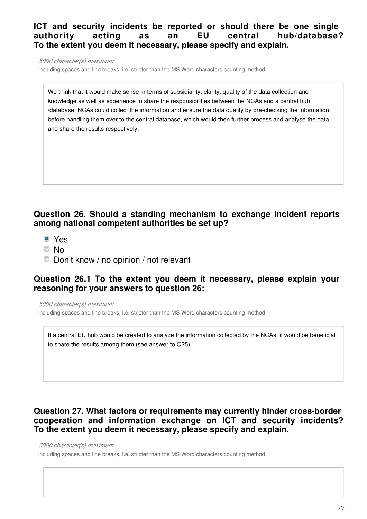# **ICT and security incidents be reported or should there be one single authority acting as an EU central hub/database? To the extent you deem it necessary, please specify and explain.**

*5000 character(s) maximum*

including spaces and line breaks, i.e. stricter than the MS Word characters counting method.

We think that it would make sense in terms of subsidiarity, clarity, quality of the data collection and knowledge as well as experience to share the responsibilities between the NCAs and a central hub /database. NCAs could collect the information and ensure the data quality by pre-checking the information, before handling them over to the central database, which would then further process and analyse the data and share the results respectively.

### **Question 26. Should a standing mechanism to exchange incident reports among national competent authorities be set up?**

- Yes
- © No
- Don't know / no opinion / not relevant

#### **Question 26.1 To the extent you deem it necessary, please explain your reasoning for your answers to question 26:**

*5000 character(s) maximum*

including spaces and line breaks, i.e. stricter than the MS Word characters counting method.

If a central EU hub would be created to analyze the information collected by the NCAs, it would be beneficial to share the results among them (see answer to Q25).

# **Question 27. What factors or requirements may currently hinder cross-border cooperation and information exchange on ICT and security incidents? To the extent you deem it necessary, please specify and explain.**

*5000 character(s) maximum*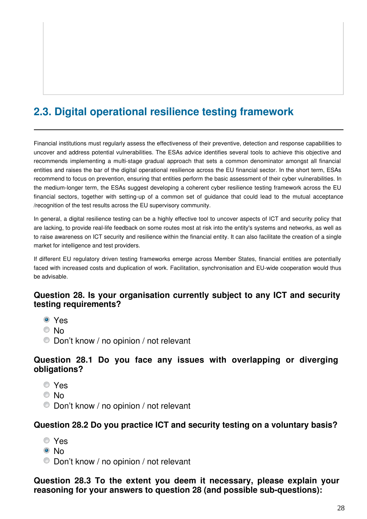# **2.3. Digital operational resilience testing framework**

Financial institutions must regularly assess the effectiveness of their preventive, detection and response capabilities to uncover and address potential vulnerabilities. The ESAs advice identifies several tools to achieve this objective and recommends implementing a multi-stage gradual approach that sets a common denominator amongst all financial entities and raises the bar of the digital operational resilience across the EU financial sector. In the short term, ESAs recommend to focus on prevention, ensuring that entities perform the basic assessment of their cyber vulnerabilities. In the medium-longer term, the ESAs suggest developing a coherent cyber resilience testing framework across the EU financial sectors, together with setting-up of a common set of guidance that could lead to the mutual acceptance /recognition of the test results across the EU supervisory community.

In general, a digital resilience testing can be a highly effective tool to uncover aspects of ICT and security policy that are lacking, to provide real-life feedback on some routes most at risk into the entity's systems and networks, as well as to raise awareness on ICT security and resilience within the financial entity. It can also facilitate the creation of a single market for intelligence and test providers.

If different EU regulatory driven testing frameworks emerge across Member States, financial entities are potentially faced with increased costs and duplication of work. Facilitation, synchronisation and EU-wide cooperation would thus be advisable.

# **Question 28. Is your organisation currently subject to any ICT and security testing requirements?**

- Yes
- © No
- Don't know / no opinion / not relevant

### **Question 28.1 Do you face any issues with overlapping or diverging obligations?**

- Yes
- © No
- Don't know / no opinion / not relevant

#### **Question 28.2 Do you practice ICT and security testing on a voluntary basis?**

- Yes
- © No
- Don't know / no opinion / not relevant

**Question 28.3 To the extent you deem it necessary, please explain your reasoning for your answers to question 28 (and possible sub-questions):**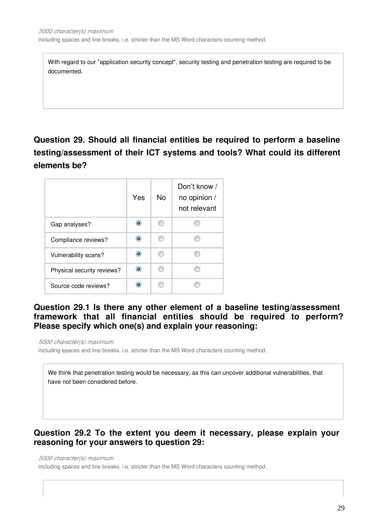including spaces and line breaks, i.e. stricter than the MS Word characters counting method.

With regard to our "application security concept", security testing and penetration testing are required to be documented.

# **Question 29. Should all financial entities be required to perform a baseline testing/assessment of their ICT systems and tools? What could its different elements be?**

|                            | Yes | <b>No</b> | Don't know /<br>no opinion /<br>not relevant |
|----------------------------|-----|-----------|----------------------------------------------|
| Gap analyses?              |     | m         |                                              |
| Compliance reviews?        |     | m         |                                              |
| Vulnerability scans?       |     | m         |                                              |
| Physical security reviews? |     | m         |                                              |
| Source code reviews?       |     |           |                                              |

# **Question 29.1 Is there any other element of a baseline testing/assessment framework that all financial entities should be required to perform? Please specify which one(s) and explain your reasoning:**

*5000 character(s) maximum*

including spaces and line breaks, i.e. stricter than the MS Word characters counting method.

We think that penetration testing would be necessary, as this can uncover additional vulnerabilities, that have not been considered before.

### **Question 29.2 To the extent you deem it necessary, please explain your reasoning for your answers to question 29:**

#### *5000 character(s) maximum*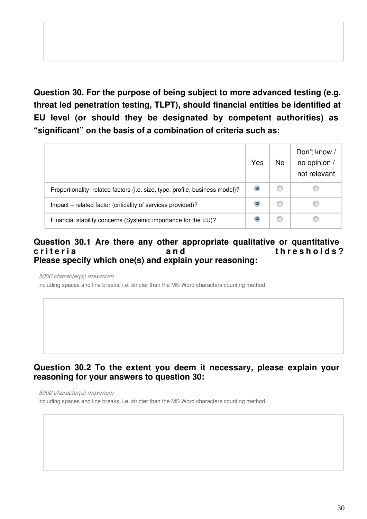**Question 30. For the purpose of being subject to more advanced testing (e.g. threat led penetration testing, TLPT), should financial entities be identified at EU level (or should they be designated by competent authorities) as "significant" on the basis of a combination of criteria such as:**

|                                                                             | Yes | <b>No</b> | Don't know /<br>no opinion /<br>not relevant |
|-----------------------------------------------------------------------------|-----|-----------|----------------------------------------------|
| Proportionality-related factors (i.e. size, type, profile, business model)? |     |           |                                              |
| Impact – related factor (criticality of services provided)?                 |     |           |                                              |
| Financial stability concerns (Systemic importance for the EU)?              |     |           |                                              |

#### **Question 30.1 Are there any other appropriate qualitative or quantitative**  c riteria **channel community and** thresholds? **Please specify which one(s) and explain your reasoning:**

*5000 character(s) maximum*

including spaces and line breaks, i.e. stricter than the MS Word characters counting method.

# **Question 30.2 To the extent you deem it necessary, please explain your reasoning for your answers to question 30:**

*5000 character(s) maximum*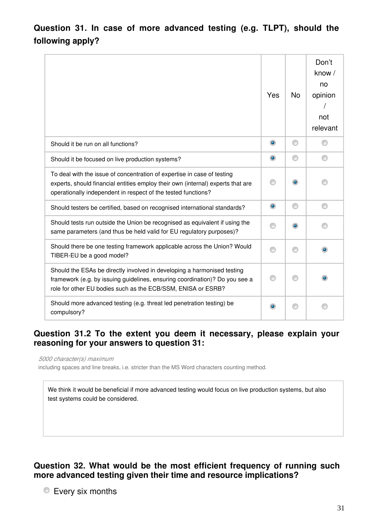**Question 31. In case of more advanced testing (e.g. TLPT), should the following apply?**

|                                                                                                                                                                                                                             | Yes            | <b>No</b> | Don't<br>know /<br>no<br>opinion<br>not<br>relevant |
|-----------------------------------------------------------------------------------------------------------------------------------------------------------------------------------------------------------------------------|----------------|-----------|-----------------------------------------------------|
| Should it be run on all functions?                                                                                                                                                                                          | $\circledcirc$ | ◎         |                                                     |
| Should it be focused on live production systems?                                                                                                                                                                            | $\bullet$      | ⊙         |                                                     |
| To deal with the issue of concentration of expertise in case of testing<br>experts, should financial entities employ their own (internal) experts that are<br>operationally independent in respect of the tested functions? |                | $\bullet$ |                                                     |
| Should testers be certified, based on recognised international standards?                                                                                                                                                   | $\bullet$      | ⊙         | ⊙                                                   |
| Should tests run outside the Union be recognised as equivalent if using the<br>same parameters (and thus be held valid for EU regulatory purposes)?                                                                         |                | $\bullet$ |                                                     |
| Should there be one testing framework applicable across the Union? Would<br>TIBER-EU be a good model?                                                                                                                       |                | ∩         |                                                     |
| Should the ESAs be directly involved in developing a harmonised testing<br>framework (e.g. by issuing guidelines, ensuring coordination)? Do you see a<br>role for other EU bodies such as the ECB/SSM, ENISA or ESRB?      |                |           |                                                     |
| Should more advanced testing (e.g. threat led penetration testing) be<br>compulsory?                                                                                                                                        |                |           |                                                     |

# **Question 31.2 To the extent you deem it necessary, please explain your reasoning for your answers to question 31:**

*5000 character(s) maximum*

including spaces and line breaks, i.e. stricter than the MS Word characters counting method.

We think it would be beneficial if more advanced testing would focus on live production systems, but also test systems could be considered.

# **Question 32. What would be the most efficient frequency of running such more advanced testing given their time and resource implications?**

**Every six months**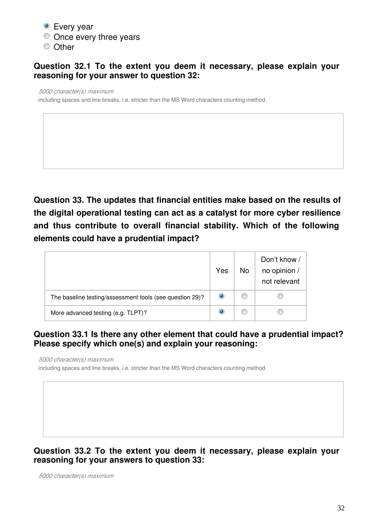- Every year
- $\bullet$  Once every three years
- <sup>O</sup> Other

# **Question 32.1 To the extent you deem it necessary, please explain your reasoning for your answer to question 32:**

#### *5000 character(s) maximum*

including spaces and line breaks, i.e. stricter than the MS Word characters counting method.

**Question 33. The updates that financial entities make based on the results of the digital operational testing can act as a catalyst for more cyber resilience and thus contribute to overall financial stability. Which of the following elements could have a prudential impact?**

|                                                          | Yes | <b>No</b> | Don't know /<br>no opinion /<br>not relevant |
|----------------------------------------------------------|-----|-----------|----------------------------------------------|
| The baseline testing/assessment tools (see question 29)? |     |           |                                              |
| More advanced testing (e.g. TLPT)?                       | ۰   |           |                                              |

# **Question 33.1 Is there any other element that could have a prudential impact? Please specify which one(s) and explain your reasoning:**

*5000 character(s) maximum*

including spaces and line breaks, i.e. stricter than the MS Word characters counting method.

# **Question 33.2 To the extent you deem it necessary, please explain your reasoning for your answers to question 33:**

*5000 character(s) maximum*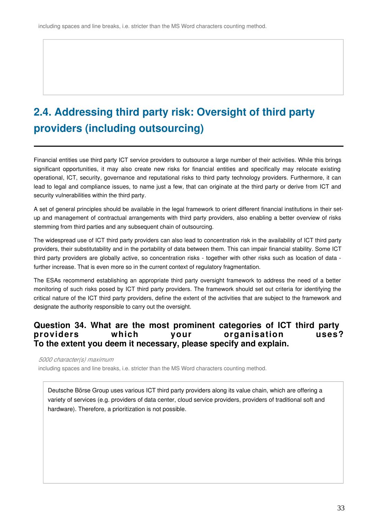# **2.4. Addressing third party risk: Oversight of third party providers (including outsourcing)**

Financial entities use third party ICT service providers to outsource a large number of their activities. While this brings significant opportunities, it may also create new risks for financial entities and specifically may relocate existing operational, ICT, security, governance and reputational risks to third party technology providers. Furthermore, it can lead to legal and compliance issues, to name just a few, that can originate at the third party or derive from ICT and security vulnerabilities within the third party.

A set of general principles should be available in the legal framework to orient different financial institutions in their setup and management of contractual arrangements with third party providers, also enabling a better overview of risks stemming from third parties and any subsequent chain of outsourcing.

The widespread use of ICT third party providers can also lead to concentration risk in the availability of ICT third party providers, their substitutability and in the portability of data between them. This can impair financial stability. Some ICT third party providers are globally active, so concentration risks - together with other risks such as location of data further increase. That is even more so in the current context of regulatory fragmentation.

The ESAs recommend establishing an appropriate third party oversight framework to address the need of a better monitoring of such risks posed by ICT third party providers. The framework should set out criteria for identifying the critical nature of the ICT third party providers, define the extent of the activities that are subject to the framework and designate the authority responsible to carry out the oversight.

### **Question 34. What are the most prominent categories of ICT third party providers which your organisation uses? To the extent you deem it necessary, please specify and explain.**

*5000 character(s) maximum*

including spaces and line breaks, i.e. stricter than the MS Word characters counting method.

Deutsche Börse Group uses various ICT third party providers along its value chain, which are offering a variety of services (e.g. providers of data center, cloud service providers, providers of traditional soft and hardware). Therefore, a prioritization is not possible.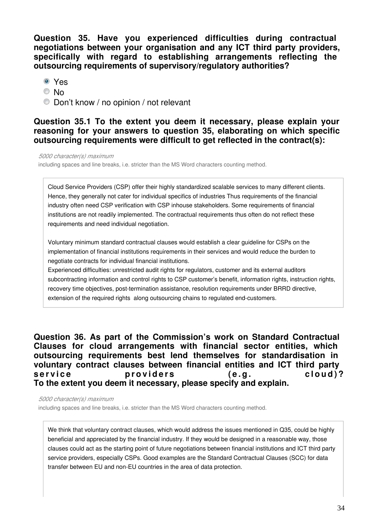**Question 35. Have you experienced difficulties during contractual negotiations between your organisation and any ICT third party providers, specifically with regard to establishing arrangements reflecting the outsourcing requirements of supervisory/regulatory authorities?**

- Yes
- © No
- Don't know / no opinion / not relevant

#### **Question 35.1 To the extent you deem it necessary, please explain your reasoning for your answers to question 35, elaborating on which specific outsourcing requirements were difficult to get reflected in the contract(s):**

*5000 character(s) maximum*

including spaces and line breaks, i.e. stricter than the MS Word characters counting method.

Cloud Service Providers (CSP) offer their highly standardized scalable services to many different clients. Hence, they generally not cater for individual specifics of industries Thus requirements of the financial industry often need CSP verification with CSP inhouse stakeholders. Some requirements of financial institutions are not readily implemented. The contractual requirements thus often do not reflect these requirements and need individual negotiation.

Voluntary minimum standard contractual clauses would establish a clear guideline for CSPs on the implementation of financial institutions requirements in their services and would reduce the burden to negotiate contracts for individual financial institutions.

Experienced difficulties: unrestricted audit rights for regulators, customer and its external auditors subcontracting information and control rights to CSP customer's benefit, information rights, instruction rights, recovery time objectives, post-termination assistance, resolution requirements under BRRD directive, extension of the required rights along outsourcing chains to regulated end-customers.

**Question 36. As part of the Commission's work on Standard Contractual Clauses for cloud arrangements with financial sector entities, which outsourcing requirements best lend themselves for standardisation in voluntary contract clauses between financial entities and ICT third party**  service **providers** (e.a. cloud)? **To the extent you deem it necessary, please specify and explain.**

*5000 character(s) maximum*

including spaces and line breaks, i.e. stricter than the MS Word characters counting method.

We think that voluntary contract clauses, which would address the issues mentioned in Q35, could be highly beneficial and appreciated by the financial industry. If they would be designed in a reasonable way, those clauses could act as the starting point of future negotiations between financial institutions and ICT third party service providers, especially CSPs. Good examples are the Standard Contractual Clauses (SCC) for data transfer between EU and non-EU countries in the area of data protection.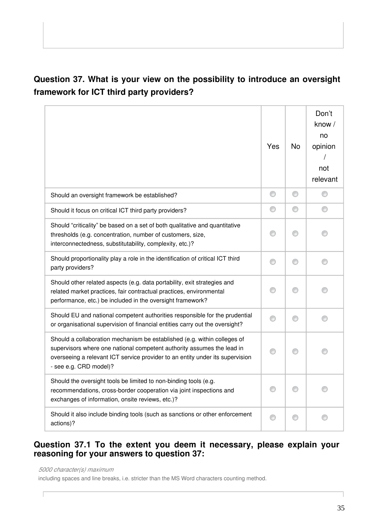# **Question 37. What is your view on the possibility to introduce an oversight framework for ICT third party providers?**

|                                                                                                                                                                                                                                                               | Yes | No | Don't<br>know/<br>no<br>opinion<br>not<br>relevant |
|---------------------------------------------------------------------------------------------------------------------------------------------------------------------------------------------------------------------------------------------------------------|-----|----|----------------------------------------------------|
| Should an oversight framework be established?                                                                                                                                                                                                                 | ◎   | O  |                                                    |
| Should it focus on critical ICT third party providers?                                                                                                                                                                                                        | ⊙   | a  | a                                                  |
| Should "criticality" be based on a set of both qualitative and quantitative<br>thresholds (e.g. concentration, number of customers, size,<br>interconnectedness, substitutability, complexity, etc.)?                                                         |     |    |                                                    |
| Should proportionality play a role in the identification of critical ICT third<br>party providers?                                                                                                                                                            | ⋒   | ⋒  |                                                    |
| Should other related aspects (e.g. data portability, exit strategies and<br>related market practices, fair contractual practices, environmental<br>performance, etc.) be included in the oversight framework?                                                 |     |    |                                                    |
| Should EU and national competent authorities responsible for the prudential<br>or organisational supervision of financial entities carry out the oversight?                                                                                                   |     |    |                                                    |
| Should a collaboration mechanism be established (e.g. within colleges of<br>supervisors where one national competent authority assumes the lead in<br>overseeing a relevant ICT service provider to an entity under its supervision<br>- see e.g. CRD model)? |     |    |                                                    |
| Should the oversight tools be limited to non-binding tools (e.g.<br>recommendations, cross-border cooperation via joint inspections and<br>exchanges of information, onsite reviews, etc.)?                                                                   |     |    |                                                    |
| Should it also include binding tools (such as sanctions or other enforcement<br>actions)?                                                                                                                                                                     |     | ⊙  | ⊙                                                  |

# **Question 37.1 To the extent you deem it necessary, please explain your reasoning for your answers to question 37:**

*5000 character(s) maximum*

 $\sqrt{ }$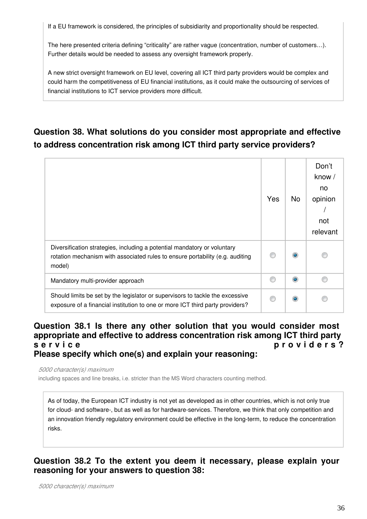If a EU framework is considered, the principles of subsidiarity and proportionality should be respected.

The here presented criteria defining "criticality" are rather vague (concentration, number of customers…). Further details would be needed to assess any oversight framework properly.

A new strict oversight framework on EU level, covering all ICT third party providers would be complex and could harm the competitiveness of EU financial institutions, as it could make the outsourcing of services of financial institutions to ICT service providers more difficult.

# **Question 38. What solutions do you consider most appropriate and effective to address concentration risk among ICT third party service providers?**

|                                                                                                                                                                     | Yes | No        | Don't<br>know /<br>no<br>opinion<br>not<br>relevant |
|---------------------------------------------------------------------------------------------------------------------------------------------------------------------|-----|-----------|-----------------------------------------------------|
| Diversification strategies, including a potential mandatory or voluntary<br>rotation mechanism with associated rules to ensure portability (e.g. auditing<br>model) |     |           |                                                     |
| Mandatory multi-provider approach                                                                                                                                   |     | $\bullet$ |                                                     |
| Should limits be set by the legislator or supervisors to tackle the excessive<br>exposure of a financial institution to one or more ICT third party providers?      |     |           |                                                     |

#### **Question 38.1 Is there any other solution that you would consider most appropriate and effective to address concentration risk among ICT third party**  s e r v i c e pro v i d e r s ? **Please specify which one(s) and explain your reasoning:**

*5000 character(s) maximum*

including spaces and line breaks, i.e. stricter than the MS Word characters counting method.

As of today, the European ICT industry is not yet as developed as in other countries, which is not only true for cloud- and software-, but as well as for hardware-services. Therefore, we think that only competition and an innovation friendly regulatory environment could be effective in the long-term, to reduce the concentration risks.

**Question 38.2 To the extent you deem it necessary, please explain your reasoning for your answers to question 38:**

*5000 character(s) maximum*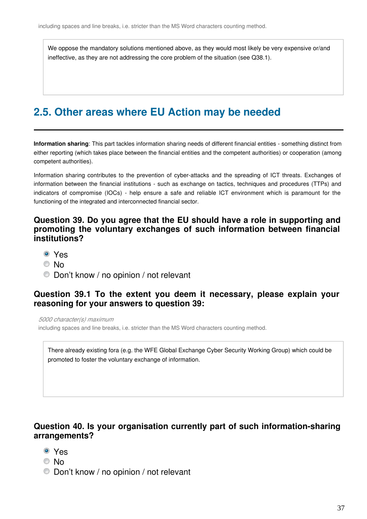We oppose the mandatory solutions mentioned above, as they would most likely be very expensive or/and ineffective, as they are not addressing the core problem of the situation (see Q38.1).

# **2.5. Other areas where EU Action may be needed**

**Information sharing**: This part tackles information sharing needs of different financial entities - something distinct from either reporting (which takes place between the financial entities and the competent authorities) or cooperation (among competent authorities).

Information sharing contributes to the prevention of cyber-attacks and the spreading of ICT threats. Exchanges of information between the financial institutions - such as exchange on tactics, techniques and procedures (TTPs) and indicators of compromise (IOCs) - help ensure a safe and reliable ICT environment which is paramount for the functioning of the integrated and interconnected financial sector.

#### **Question 39. Do you agree that the EU should have a role in supporting and promoting the voluntary exchanges of such information between financial institutions?**

- Yes
- © No
- Don't know / no opinion / not relevant

#### **Question 39.1 To the extent you deem it necessary, please explain your reasoning for your answers to question 39:**

*5000 character(s) maximum*

including spaces and line breaks, i.e. stricter than the MS Word characters counting method.

There already existing fora (e.g. the WFE Global Exchange Cyber Security Working Group) which could be promoted to foster the voluntary exchange of information.

### **Question 40. Is your organisation currently part of such information-sharing arrangements?**

- Yes
- © No
- Don't know / no opinion / not relevant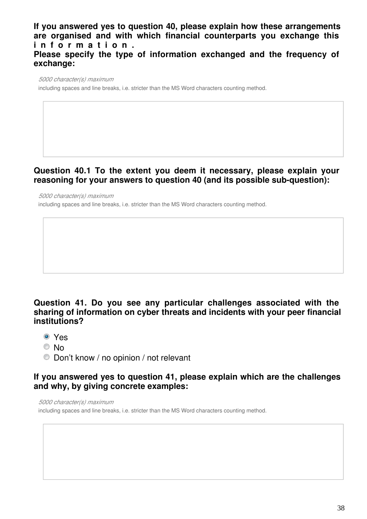**If you answered yes to question 40, please explain how these arrangements are organised and with which financial counterparts you exchange this i n f o r m a t i o n . Please specify the type of information exchanged and the frequency of exchange:**

*5000 character(s) maximum*

including spaces and line breaks, i.e. stricter than the MS Word characters counting method.

### **Question 40.1 To the extent you deem it necessary, please explain your reasoning for your answers to question 40 (and its possible sub-question):**

*5000 character(s) maximum* including spaces and line breaks, i.e. stricter than the MS Word characters counting method.

# **Question 41. Do you see any particular challenges associated with the sharing of information on cyber threats and incidents with your peer financial institutions?**

- Yes
- © No
- Don't know / no opinion / not relevant

### **If you answered yes to question 41, please explain which are the challenges and why, by giving concrete examples:**

*5000 character(s) maximum*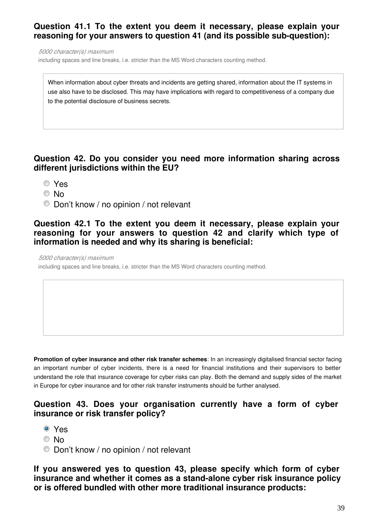# **Question 41.1 To the extent you deem it necessary, please explain your reasoning for your answers to question 41 (and its possible sub-question):**

*5000 character(s) maximum*

including spaces and line breaks, i.e. stricter than the MS Word characters counting method.

When information about cyber threats and incidents are getting shared, information about the IT systems in use also have to be disclosed. This may have implications with regard to competitiveness of a company due to the potential disclosure of business secrets.

# **Question 42. Do you consider you need more information sharing across different jurisdictions within the EU?**

- Yes
- © No
- Don't know / no opinion / not relevant

#### **Question 42.1 To the extent you deem it necessary, please explain your reasoning for your answers to question 42 and clarify which type of information is needed and why its sharing is beneficial:**

*5000 character(s) maximum*

including spaces and line breaks, i.e. stricter than the MS Word characters counting method.

**Promotion of cyber insurance and other risk transfer schemes**: In an increasingly digitalised financial sector facing an important number of cyber incidents, there is a need for financial institutions and their supervisors to better understand the role that insurance coverage for cyber risks can play. Both the demand and supply sides of the market in Europe for cyber insurance and for other risk transfer instruments should be further analysed.

#### **Question 43. Does your organisation currently have a form of cyber insurance or risk transfer policy?**

- Yes
- © No
- Don't know / no opinion / not relevant

**If you answered yes to question 43, please specify which form of cyber insurance and whether it comes as a stand-alone cyber risk insurance policy or is offered bundled with other more traditional insurance products:**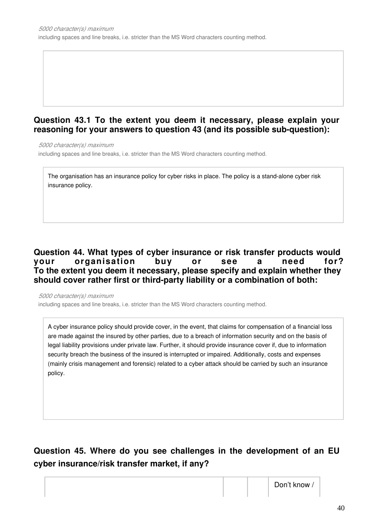# **Question 43.1 To the extent you deem it necessary, please explain your reasoning for your answers to question 43 (and its possible sub-question):**

*5000 character(s) maximum*

including spaces and line breaks, i.e. stricter than the MS Word characters counting method.

The organisation has an insurance policy for cyber risks in place. The policy is a stand-alone cyber risk insurance policy.

# **Question 44. What types of cyber insurance or risk transfer products would your organisation buy or see a need for? To the extent you deem it necessary, please specify and explain whether they should cover rather first or third-party liability or a combination of both:**

*5000 character(s) maximum*

including spaces and line breaks, i.e. stricter than the MS Word characters counting method.

A cyber insurance policy should provide cover, in the event, that claims for compensation of a financial loss are made against the insured by other parties, due to a breach of information security and on the basis of legal liability provisions under private law. Further, it should provide insurance cover if, due to information security breach the business of the insured is interrupted or impaired. Additionally, costs and expenses (mainly crisis management and forensic) related to a cyber attack should be carried by such an insurance policy.

# **Question 45. Where do you see challenges in the development of an EU cyber insurance/risk transfer market, if any?**

Don't know /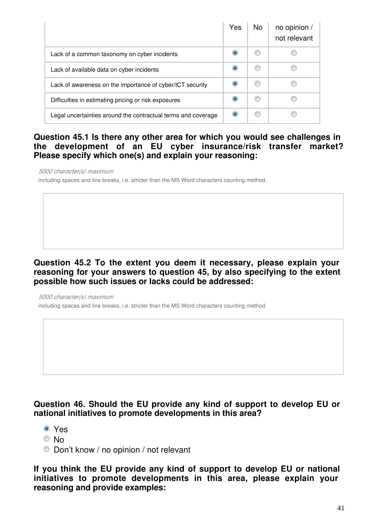|                                                               | Yes | No. | no opinion /<br>not relevant |
|---------------------------------------------------------------|-----|-----|------------------------------|
| Lack of a common taxonomy on cyber incidents                  | ۰   |     |                              |
| Lack of available data on cyber incidents                     | ۰   |     |                              |
| Lack of awareness on the importance of cyber/ICT security     |     |     |                              |
| Difficulties in estimating pricing or risk exposures          | ۵   |     |                              |
| Legal uncertainties around the contractual terms and coverage |     |     |                              |

# **Question 45.1 Is there any other area for which you would see challenges in the development of an EU cyber insurance/risk transfer market? Please specify which one(s) and explain your reasoning:**

*5000 character(s) maximum*

including spaces and line breaks, i.e. stricter than the MS Word characters counting method.

# **Question 45.2 To the extent you deem it necessary, please explain your reasoning for your answers to question 45, by also specifying to the extent possible how such issues or lacks could be addressed:**

*5000 character(s) maximum* including spaces and line breaks, i.e. stricter than the MS Word characters counting method.

# **Question 46. Should the EU provide any kind of support to develop EU or national initiatives to promote developments in this area?**

- Yes
- © No
- Don't know / no opinion / not relevant

**If you think the EU provide any kind of support to develop EU or national initiatives to promote developments in this area, please explain your reasoning and provide examples:**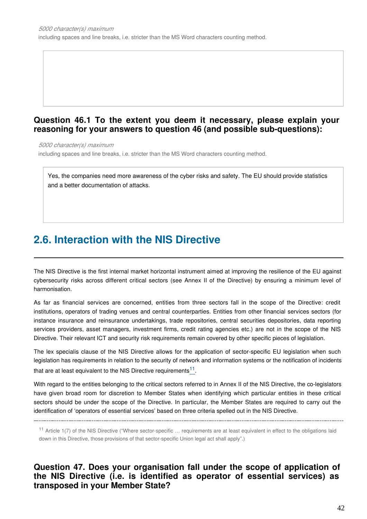### **Question 46.1 To the extent you deem it necessary, please explain your reasoning for your answers to question 46 (and possible sub-questions):**

*5000 character(s) maximum*

including spaces and line breaks, i.e. stricter than the MS Word characters counting method.

Yes, the companies need more awareness of the cyber risks and safety. The EU should provide statistics and a better documentation of attacks.

# **2.6. Interaction with the NIS Directive**

The NIS Directive is the first internal market horizontal instrument aimed at improving the resilience of the EU against cybersecurity risks across different critical sectors (see Annex II of the Directive) by ensuring a minimum level of harmonisation.

As far as financial services are concerned, entities from three sectors fall in the scope of the Directive: credit institutions, operators of trading venues and central counterparties. Entities from other financial services sectors (for instance insurance and reinsurance undertakings, trade repositories, central securities depositories, data reporting services providers, asset managers, investment firms, credit rating agencies etc.) are not in the scope of the NIS Directive. Their relevant ICT and security risk requirements remain covered by other specific pieces of legislation.

The lex specialis clause of the NIS Directive allows for the application of sector-specific EU legislation when such legislation has requirements in relation to the security of network and information systems or the notification of incidents that are at least equivalent to the NIS Directive requirements  $^{11}$  $^{11}$  $^{11}$ .

With regard to the entities belonging to the critical sectors referred to in Annex II of the NIS Directive, the co-legislators have given broad room for discretion to Member States when identifying which particular entities in these critical sectors should be under the scope of the Directive. In particular, the Member States are required to carry out the identification of 'operators of essential services' based on three criteria spelled out in the NIS Directive.

<span id="page-41-0"></span>

<sup>11</sup> Article 1(7) of the NIS Directive ("Where sector-specific ... requirements are at least equivalent in effect to the obligations laid down in this Directive, those provisions of that sector-specific Union legal act shall apply".)

**Question 47. Does your organisation fall under the scope of application of the NIS Directive (i.e. is identified as operator of essential services) as transposed in your Member State?**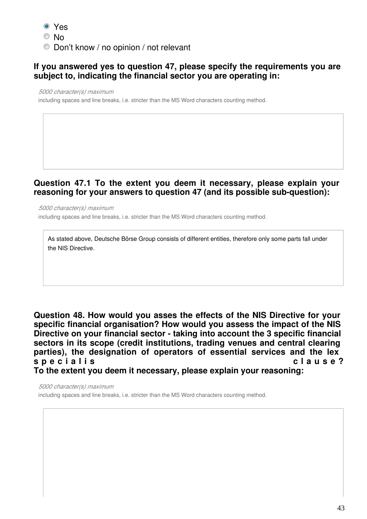- Yes
- © No
- Don't know / no opinion / not relevant

# **If you answered yes to question 47, please specify the requirements you are subject to, indicating the financial sector you are operating in:**

*5000 character(s) maximum*

including spaces and line breaks, i.e. stricter than the MS Word characters counting method.

### **Question 47.1 To the extent you deem it necessary, please explain your reasoning for your answers to question 47 (and its possible sub-question):**

*5000 character(s) maximum* including spaces and line breaks, i.e. stricter than the MS Word characters counting method.

As stated above, Deutsche Börse Group consists of different entities, therefore only some parts fall under the NIS Directive.

**Question 48. How would you asses the effects of the NIS Directive for your specific financial organisation? How would you assess the impact of the NIS Directive on your financial sector - taking into account the 3 specific financial sectors in its scope (credit institutions, trading venues and central clearing parties), the designation of operators of essential services and the lex**  s p e c i a l i s c l a u s e ? **To the extent you deem it necessary, please explain your reasoning:**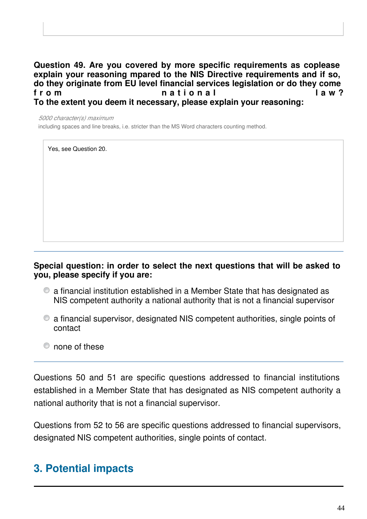**Question 49. Are you covered by more specific requirements as coplease explain your reasoning mpared to the NIS Directive requirements and if so, do they originate from EU level financial services legislation or do they come**  f r o m  $a$  tional law? **To the extent you deem it necessary, please explain your reasoning:**

*5000 character(s) maximum*

including spaces and line breaks, i.e. stricter than the MS Word characters counting method.

Yes, see Question 20.

### **Special question: in order to select the next questions that will be asked to you, please specify if you are:**

- a financial institution established in a Member State that has designated as NIS competent authority a national authority that is not a financial supervisor
- a financial supervisor, designated NIS competent authorities, single points of contact
- $^{\circ}$  none of these

Questions 50 and 51 are specific questions addressed to financial institutions established in a Member State that has designated as NIS competent authority a national authority that is not a financial supervisor.

Questions from 52 to 56 are specific questions addressed to financial supervisors, designated NIS competent authorities, single points of contact.

# **3. Potential impacts**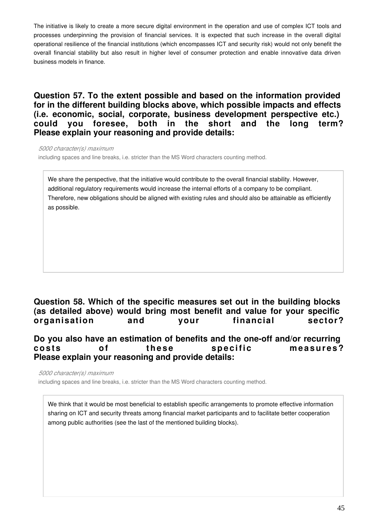The initiative is likely to create a more secure digital environment in the operation and use of complex ICT tools and processes underpinning the provision of financial services. It is expected that such increase in the overall digital operational resilience of the financial institutions (which encompasses ICT and security risk) would not only benefit the overall financial stability but also result in higher level of consumer protection and enable innovative data driven business models in finance.

**Question 57. To the extent possible and based on the information provided for in the different building blocks above, which possible impacts and effects (i.e. economic, social, corporate, business development perspective etc.) could you foresee, both in the short and the long term? Please explain your reasoning and provide details:**

*5000 character(s) maximum*

including spaces and line breaks, i.e. stricter than the MS Word characters counting method.

We share the perspective, that the initiative would contribute to the overall financial stability. However, additional regulatory requirements would increase the internal efforts of a company to be compliant. Therefore, new obligations should be aligned with existing rules and should also be attainable as efficiently as possible.

# **Question 58. Which of the specific measures set out in the building blocks (as detailed above) would bring most benefit and value for your specific organisation and your financial sector?**

#### **Do you also have an estimation of benefits and the one-off and/or recurring**  costs of these specific measures? **Please explain your reasoning and provide details:**

*5000 character(s) maximum*

including spaces and line breaks, i.e. stricter than the MS Word characters counting method.

We think that it would be most beneficial to establish specific arrangements to promote effective information sharing on ICT and security threats among financial market participants and to facilitate better cooperation among public authorities (see the last of the mentioned building blocks).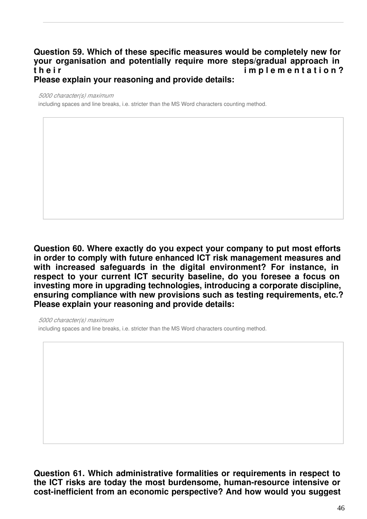#### **Question 59. Which of these specific measures would be completely new for your organisation and potentially require more steps/gradual approach in**  t h e i r i m p l e m e n t a t i o n ? **Please explain your reasoning and provide details:**

*5000 character(s) maximum*

including spaces and line breaks, i.e. stricter than the MS Word characters counting method.

**Question 60. Where exactly do you expect your company to put most efforts in order to comply with future enhanced ICT risk management measures and with increased safeguards in the digital environment? For instance, in respect to your current ICT security baseline, do you foresee a focus on investing more in upgrading technologies, introducing a corporate discipline, ensuring compliance with new provisions such as testing requirements, etc.? Please explain your reasoning and provide details:**

*5000 character(s) maximum*

including spaces and line breaks, i.e. stricter than the MS Word characters counting method.

**Question 61. Which administrative formalities or requirements in respect to the ICT risks are today the most burdensome, human-resource intensive or cost-inefficient from an economic perspective? And how would you suggest**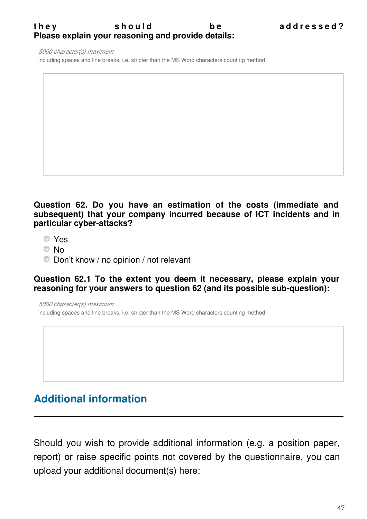# they should be addressed? **Please explain your reasoning and provide details:**

*5000 character(s) maximum*

including spaces and line breaks, i.e. stricter than the MS Word characters counting method.

**Question 62. Do you have an estimation of the costs (immediate and subsequent) that your company incurred because of ICT incidents and in particular cyber-attacks?**

- Yes
- © No
- Don't know / no opinion / not relevant

#### **Question 62.1 To the extent you deem it necessary, please explain your reasoning for your answers to question 62 (and its possible sub-question):**

*5000 character(s) maximum* including spaces and line breaks, i.e. stricter than the MS Word characters counting method.

# **Additional information**

Should you wish to provide additional information (e.g. a position paper, report) or raise specific points not covered by the questionnaire, you can upload your additional document(s) here: